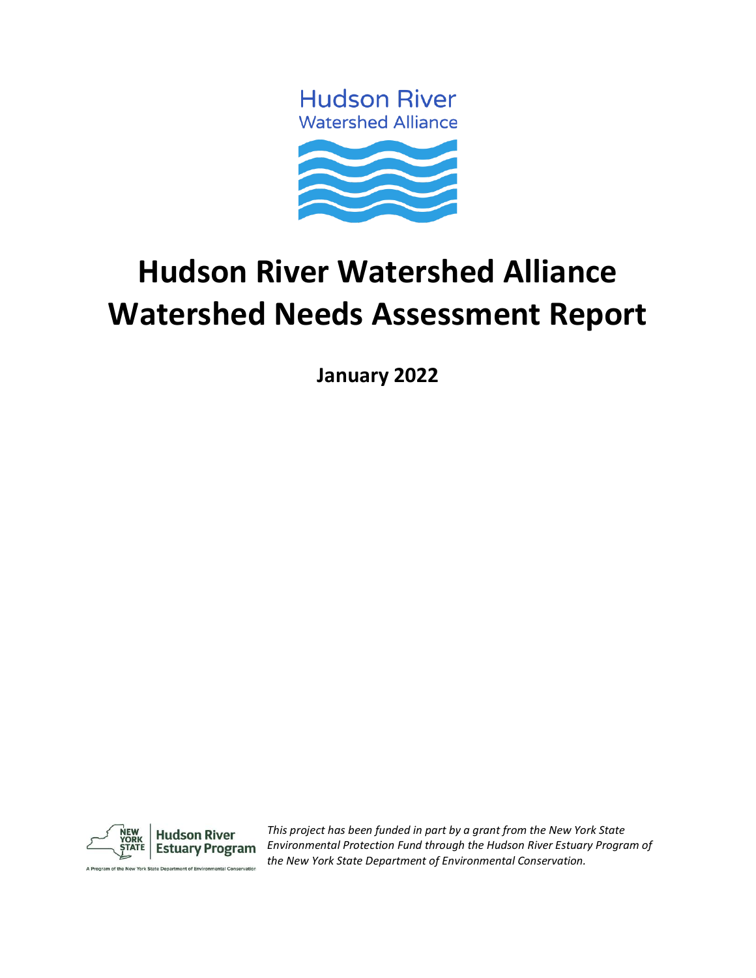**Hudson River Watershed Alliance** 



# **Hudson River Watershed Alliance Watershed Needs Assessment Report**

**January 2022**



*This project has been funded in part by a grant from the New York State Environmental Protection Fund through the Hudson River Estuary Program of the New York State Department of Environmental Conservation.*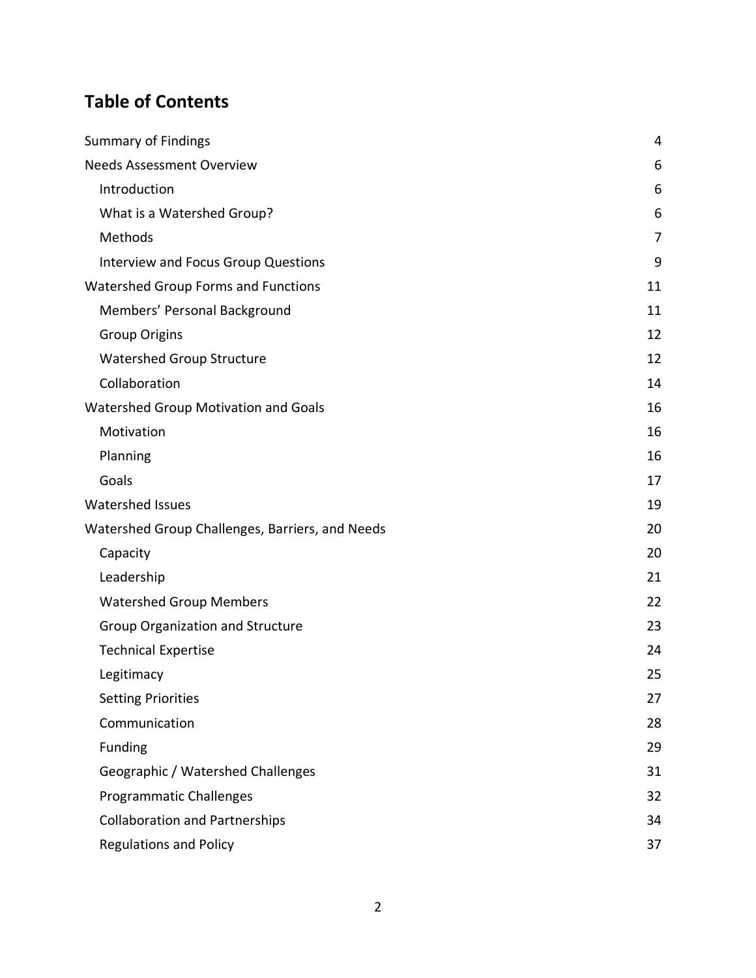# **Table of Contents**

| <b>Summary of Findings</b>                      | 4  |
|-------------------------------------------------|----|
| <b>Needs Assessment Overview</b>                | 6  |
| Introduction                                    | 6  |
| What is a Watershed Group?                      | 6  |
| Methods                                         | 7  |
| <b>Interview and Focus Group Questions</b>      | 9  |
| Watershed Group Forms and Functions             | 11 |
| Members' Personal Background                    | 11 |
| <b>Group Origins</b>                            | 12 |
| Watershed Group Structure                       | 12 |
| Collaboration                                   | 14 |
| Watershed Group Motivation and Goals            | 16 |
| Motivation                                      | 16 |
| Planning                                        | 16 |
| Goals                                           | 17 |
| <b>Watershed Issues</b>                         | 19 |
| Watershed Group Challenges, Barriers, and Needs | 20 |
| Capacity                                        | 20 |
| Leadership                                      | 21 |
| <b>Watershed Group Members</b>                  | 22 |
| <b>Group Organization and Structure</b>         | 23 |
| <b>Technical Expertise</b>                      | 24 |
| Legitimacy                                      | 25 |
| <b>Setting Priorities</b>                       | 27 |
| Communication                                   | 28 |
| Funding                                         | 29 |
| Geographic / Watershed Challenges               | 31 |
| <b>Programmatic Challenges</b>                  | 32 |
| <b>Collaboration and Partnerships</b>           | 34 |
| <b>Regulations and Policy</b>                   | 37 |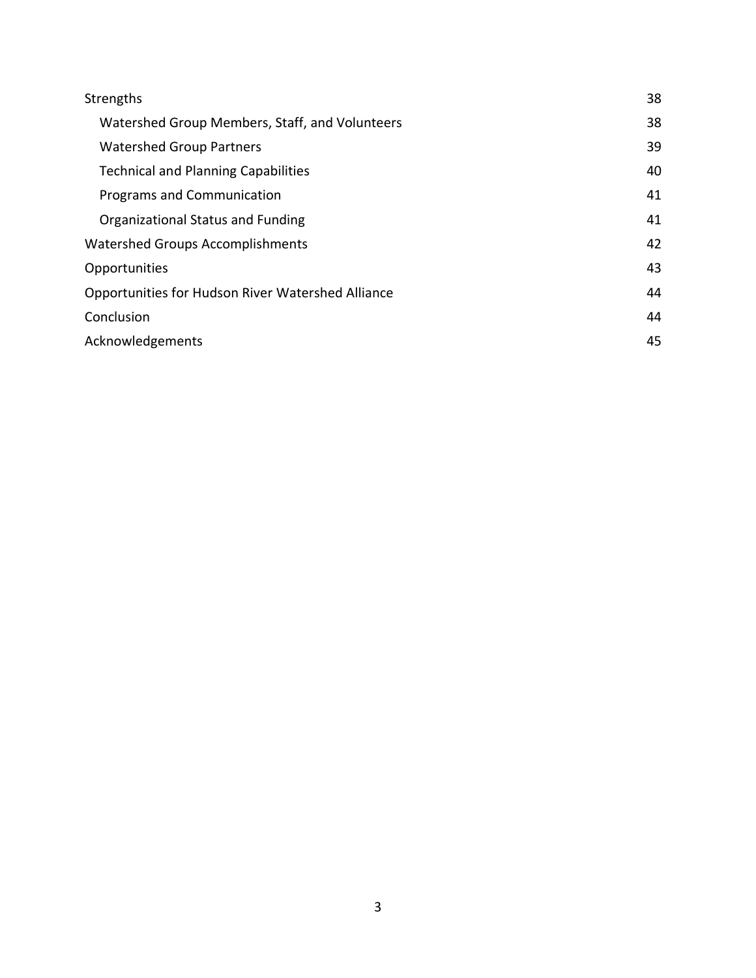| Strengths                                         | 38 |
|---------------------------------------------------|----|
| Watershed Group Members, Staff, and Volunteers    | 38 |
| <b>Watershed Group Partners</b>                   | 39 |
| <b>Technical and Planning Capabilities</b>        | 40 |
| Programs and Communication                        | 41 |
| Organizational Status and Funding                 | 41 |
| Watershed Groups Accomplishments                  | 42 |
| Opportunities                                     | 43 |
| Opportunities for Hudson River Watershed Alliance | 44 |
| Conclusion                                        | 44 |
| Acknowledgements                                  | 45 |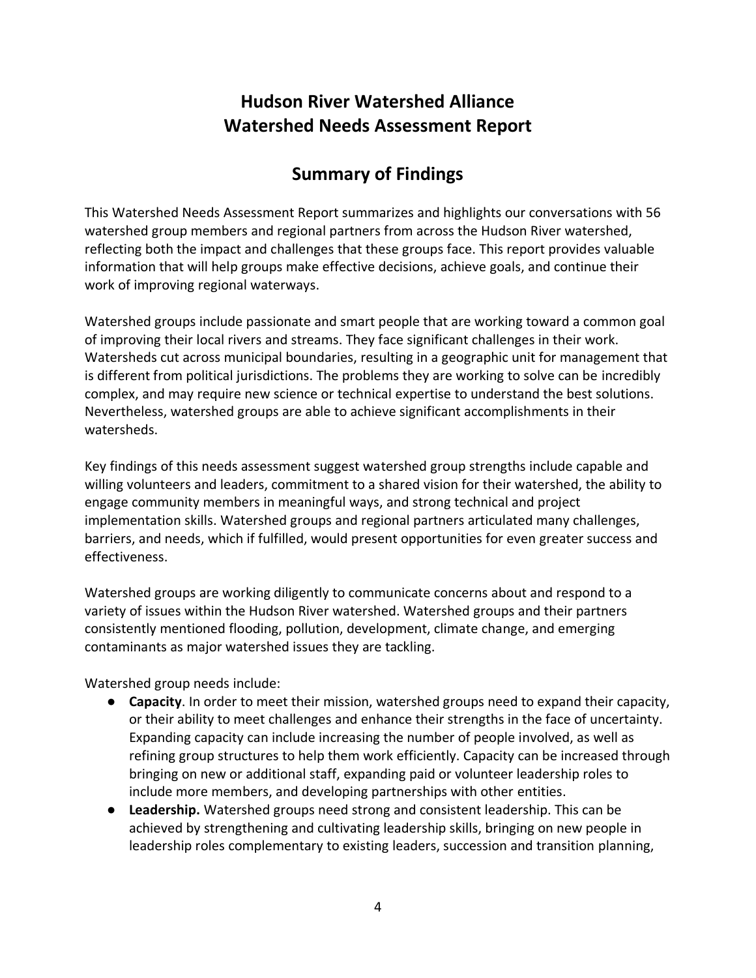# **Hudson River Watershed Alliance Watershed Needs Assessment Report**

# **Summary of Findings**

<span id="page-3-0"></span>This Watershed Needs Assessment Report summarizes and highlights our conversations with 56 watershed group members and regional partners from across the Hudson River watershed, reflecting both the impact and challenges that these groups face. This report provides valuable information that will help groups make effective decisions, achieve goals, and continue their work of improving regional waterways.

Watershed groups include passionate and smart people that are working toward a common goal of improving their local rivers and streams. They face significant challenges in their work. Watersheds cut across municipal boundaries, resulting in a geographic unit for management that is different from political jurisdictions. The problems they are working to solve can be incredibly complex, and may require new science or technical expertise to understand the best solutions. Nevertheless, watershed groups are able to achieve significant accomplishments in their watersheds.

Key findings of this needs assessment suggest watershed group strengths include capable and willing volunteers and leaders, commitment to a shared vision for their watershed, the ability to engage community members in meaningful ways, and strong technical and project implementation skills. Watershed groups and regional partners articulated many challenges, barriers, and needs, which if fulfilled, would present opportunities for even greater success and effectiveness.

Watershed groups are working diligently to communicate concerns about and respond to a variety of issues within the Hudson River watershed. Watershed groups and their partners consistently mentioned flooding, pollution, development, climate change, and emerging contaminants as major watershed issues they are tackling.

Watershed group needs include:

- **Capacity**. In order to meet their mission, watershed groups need to expand their capacity, or their ability to meet challenges and enhance their strengths in the face of uncertainty. Expanding capacity can include increasing the number of people involved, as well as refining group structures to help them work efficiently. Capacity can be increased through bringing on new or additional staff, expanding paid or volunteer leadership roles to include more members, and developing partnerships with other entities.
- **Leadership.** Watershed groups need strong and consistent leadership. This can be achieved by strengthening and cultivating leadership skills, bringing on new people in leadership roles complementary to existing leaders, succession and transition planning,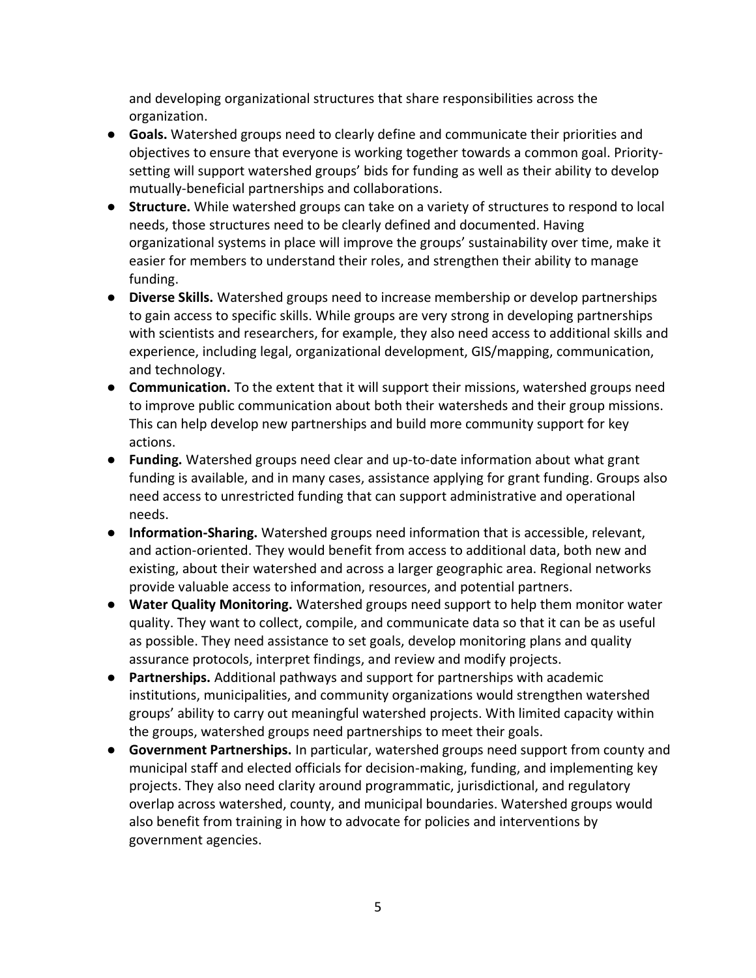and developing organizational structures that share responsibilities across the organization.

- **Goals.** Watershed groups need to clearly define and communicate their priorities and objectives to ensure that everyone is working together towards a common goal. Prioritysetting will support watershed groups' bids for funding as well as their ability to develop mutually-beneficial partnerships and collaborations.
- **Structure.** While watershed groups can take on a variety of structures to respond to local needs, those structures need to be clearly defined and documented. Having organizational systems in place will improve the groups' sustainability over time, make it easier for members to understand their roles, and strengthen their ability to manage funding.
- **Diverse Skills.** Watershed groups need to increase membership or develop partnerships to gain access to specific skills. While groups are very strong in developing partnerships with scientists and researchers, for example, they also need access to additional skills and experience, including legal, organizational development, GIS/mapping, communication, and technology.
- **Communication.** To the extent that it will support their missions, watershed groups need to improve public communication about both their watersheds and their group missions. This can help develop new partnerships and build more community support for key actions.
- **Funding.** Watershed groups need clear and up-to-date information about what grant funding is available, and in many cases, assistance applying for grant funding. Groups also need access to unrestricted funding that can support administrative and operational needs.
- **Information-Sharing.** Watershed groups need information that is accessible, relevant, and action-oriented. They would benefit from access to additional data, both new and existing, about their watershed and across a larger geographic area. Regional networks provide valuable access to information, resources, and potential partners.
- **Water Quality Monitoring.** Watershed groups need support to help them monitor water quality. They want to collect, compile, and communicate data so that it can be as useful as possible. They need assistance to set goals, develop monitoring plans and quality assurance protocols, interpret findings, and review and modify projects.
- **Partnerships.** Additional pathways and support for partnerships with academic institutions, municipalities, and community organizations would strengthen watershed groups' ability to carry out meaningful watershed projects. With limited capacity within the groups, watershed groups need partnerships to meet their goals.
- <span id="page-4-0"></span>● **Government Partnerships.** In particular, watershed groups need support from county and municipal staff and elected officials for decision-making, funding, and implementing key projects. They also need clarity around programmatic, jurisdictional, and regulatory overlap across watershed, county, and municipal boundaries. Watershed groups would also benefit from training in how to advocate for policies and interventions by government agencies.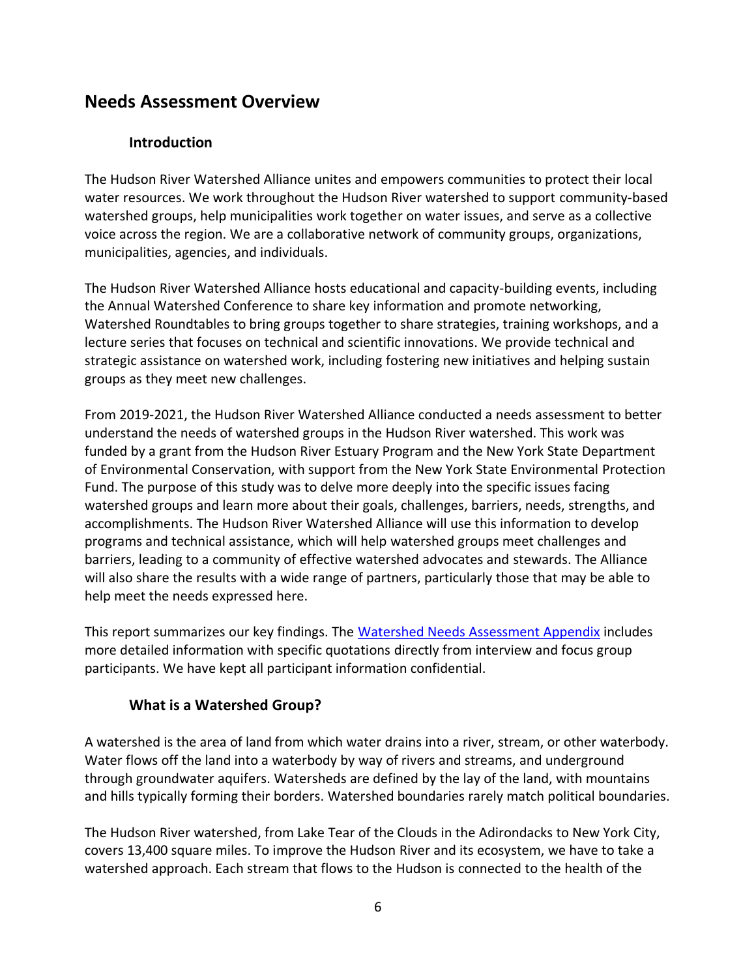# **Needs Assessment Overview**

### **Introduction**

<span id="page-5-0"></span>The Hudson River Watershed Alliance unites and empowers communities to protect their local water resources. We work throughout the Hudson River watershed to support community-based watershed groups, help municipalities work together on water issues, and serve as a collective voice across the region. We are a collaborative network of community groups, organizations, municipalities, agencies, and individuals.

The Hudson River Watershed Alliance hosts educational and capacity-building events, including the Annual Watershed Conference to share key information and promote networking, Watershed Roundtables to bring groups together to share strategies, training workshops, and a lecture series that focuses on technical and scientific innovations. We provide technical and strategic assistance on watershed work, including fostering new initiatives and helping sustain groups as they meet new challenges.

From 2019-2021, the Hudson River Watershed Alliance conducted a needs assessment to better understand the needs of watershed groups in the Hudson River watershed. This work was funded by a grant from the Hudson River Estuary Program and the New York State Department of Environmental Conservation, with support from the New York State Environmental Protection Fund. The purpose of this study was to delve more deeply into the specific issues facing watershed groups and learn more about their goals, challenges, barriers, needs, strengths, and accomplishments. The Hudson River Watershed Alliance will use this information to develop programs and technical assistance, which will help watershed groups meet challenges and barriers, leading to a community of effective watershed advocates and stewards. The Alliance will also share the results with a wide range of partners, particularly those that may be able to help meet the needs expressed here.

This report summarizes our key findings. The [Watershed Needs Assessment Appendix](https://hudsonwatershed.org/wp-content/uploads/HRWA-Watershed-Needs-Assessment-Appendix.pdf) includes more detailed information with specific quotations directly from interview and focus group participants. We have kept all participant information confidential.

### **What is a Watershed Group?**

<span id="page-5-1"></span>A watershed is the area of land from which water drains into a river, stream, or other waterbody. Water flows off the land into a waterbody by way of rivers and streams, and underground through groundwater aquifers. Watersheds are defined by the lay of the land, with mountains and hills typically forming their borders. Watershed boundaries rarely match political boundaries.

The Hudson River watershed, from Lake Tear of the Clouds in the Adirondacks to New York City, covers 13,400 square miles. To improve the Hudson River and its ecosystem, we have to take a watershed approach. Each stream that flows to the Hudson is connected to the health of the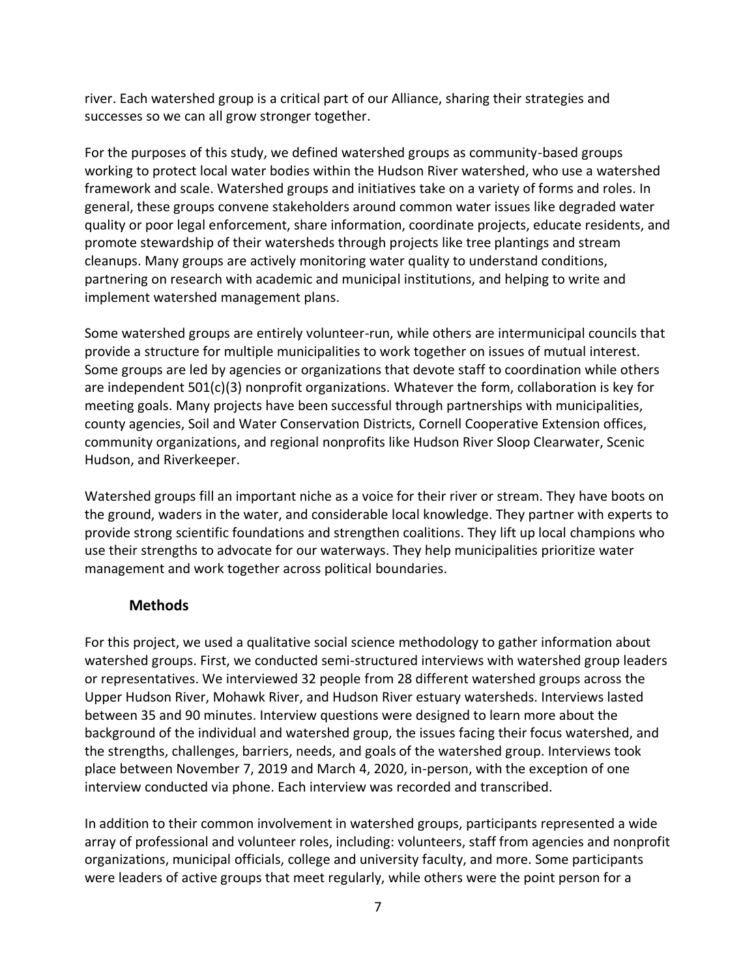river. Each watershed group is a critical part of our Alliance, sharing their strategies and successes so we can all grow stronger together.

For the purposes of this study, we defined watershed groups as community-based groups working to protect local water bodies within the Hudson River watershed, who use a watershed framework and scale. Watershed groups and initiatives take on a variety of forms and roles. In general, these groups convene stakeholders around common water issues like degraded water quality or poor legal enforcement, share information, coordinate projects, educate residents, and promote stewardship of their watersheds through projects like tree plantings and stream cleanups. Many groups are actively monitoring water quality to understand conditions, partnering on research with academic and municipal institutions, and helping to write and implement watershed management plans.

Some watershed groups are entirely volunteer-run, while others are intermunicipal councils that provide a structure for multiple municipalities to work together on issues of mutual interest. Some groups are led by agencies or organizations that devote staff to coordination while others are independent  $501(c)(3)$  nonprofit organizations. Whatever the form, collaboration is key for meeting goals. Many projects have been successful through partnerships with municipalities, county agencies, Soil and Water Conservation Districts, Cornell Cooperative Extension offices, community organizations, and regional nonprofits like Hudson River Sloop Clearwater, Scenic Hudson, and Riverkeeper.

Watershed groups fill an important niche as a voice for their river or stream. They have boots on the ground, waders in the water, and considerable local knowledge. They partner with experts to provide strong scientific foundations and strengthen coalitions. They lift up local champions who use their strengths to advocate for our waterways. They help municipalities prioritize water management and work together across political boundaries.

### **Methods**

<span id="page-6-0"></span>For this project, we used a qualitative social science methodology to gather information about watershed groups. First, we conducted semi-structured interviews with watershed group leaders or representatives. We interviewed 32 people from 28 different watershed groups across the Upper Hudson River, Mohawk River, and Hudson River estuary watersheds. Interviews lasted between 35 and 90 minutes. Interview questions were designed to learn more about the background of the individual and watershed group, the issues facing their focus watershed, and the strengths, challenges, barriers, needs, and goals of the watershed group. Interviews took place between November 7, 2019 and March 4, 2020, in-person, with the exception of one interview conducted via phone. Each interview was recorded and transcribed.

In addition to their common involvement in watershed groups, participants represented a wide array of professional and volunteer roles, including: volunteers, staff from agencies and nonprofit organizations, municipal officials, college and university faculty, and more. Some participants were leaders of active groups that meet regularly, while others were the point person for a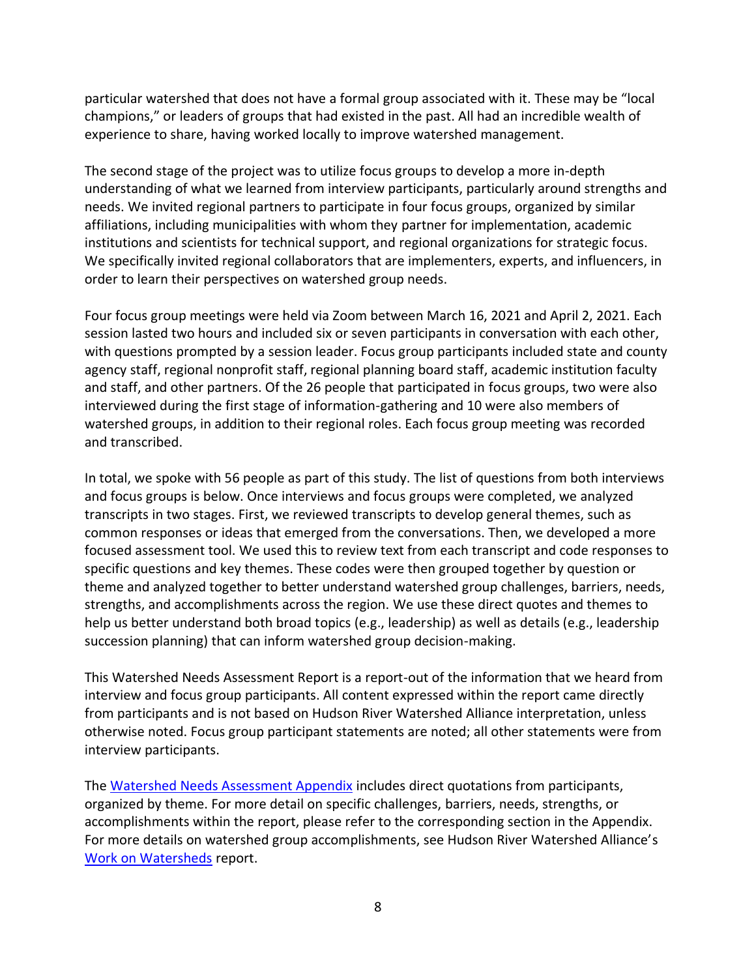particular watershed that does not have a formal group associated with it. These may be "local champions," or leaders of groups that had existed in the past. All had an incredible wealth of experience to share, having worked locally to improve watershed management.

The second stage of the project was to utilize focus groups to develop a more in-depth understanding of what we learned from interview participants, particularly around strengths and needs. We invited regional partners to participate in four focus groups, organized by similar affiliations, including municipalities with whom they partner for implementation, academic institutions and scientists for technical support, and regional organizations for strategic focus. We specifically invited regional collaborators that are implementers, experts, and influencers, in order to learn their perspectives on watershed group needs.

Four focus group meetings were held via Zoom between March 16, 2021 and April 2, 2021. Each session lasted two hours and included six or seven participants in conversation with each other, with questions prompted by a session leader. Focus group participants included state and county agency staff, regional nonprofit staff, regional planning board staff, academic institution faculty and staff, and other partners. Of the 26 people that participated in focus groups, two were also interviewed during the first stage of information-gathering and 10 were also members of watershed groups, in addition to their regional roles. Each focus group meeting was recorded and transcribed.

In total, we spoke with 56 people as part of this study. The list of questions from both interviews and focus groups is below. Once interviews and focus groups were completed, we analyzed transcripts in two stages. First, we reviewed transcripts to develop general themes, such as common responses or ideas that emerged from the conversations. Then, we developed a more focused assessment tool. We used this to review text from each transcript and code responses to specific questions and key themes. These codes were then grouped together by question or theme and analyzed together to better understand watershed group challenges, barriers, needs, strengths, and accomplishments across the region. We use these direct quotes and themes to help us better understand both broad topics (e.g., leadership) as well as details (e.g., leadership succession planning) that can inform watershed group decision-making.

This Watershed Needs Assessment Report is a report-out of the information that we heard from interview and focus group participants. All content expressed within the report came directly from participants and is not based on Hudson River Watershed Alliance interpretation, unless otherwise noted. Focus group participant statements are noted; all other statements were from interview participants.

The [Watershed Needs Assessment Appendix](https://hudsonwatershed.org/wp-content/uploads/HRWA-Watershed-Needs-Assessment-Appendix.pdf) includes direct quotations from participants, organized by theme. For more detail on specific challenges, barriers, needs, strengths, or accomplishments within the report, please refer to the corresponding section in the Appendix. For more details on watershed group accomplishments, see Hudson River Watershed Alliance's [Work on Watersheds](https://hudsonwatershed.org/wp-content/uploads/HRWA_Work-on-Watersheds_Report.pdf) report.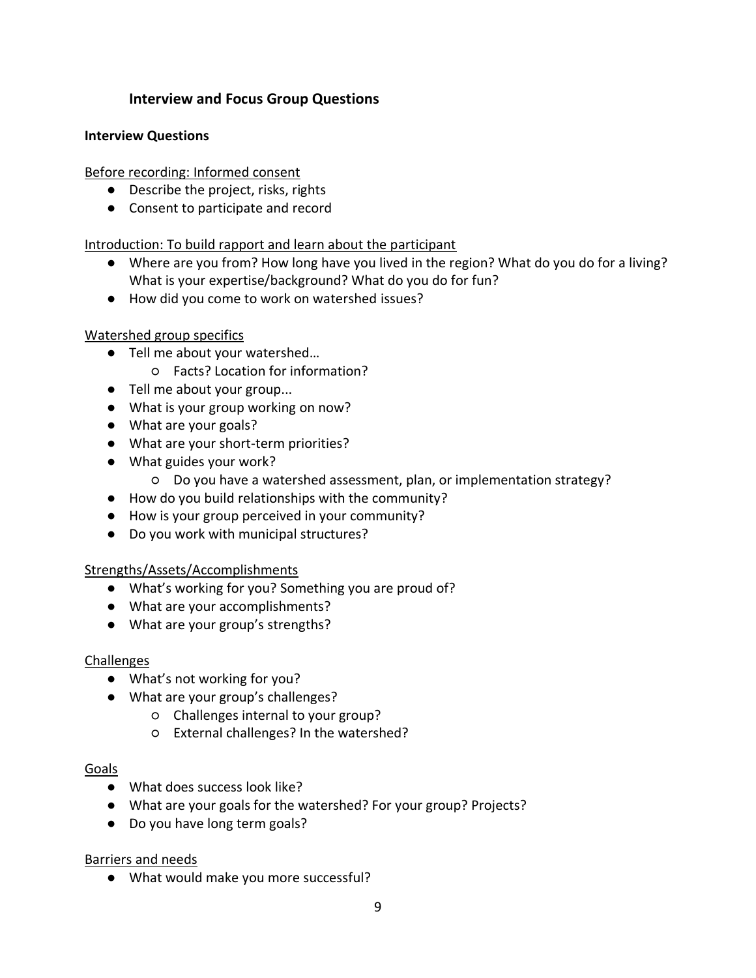### **Interview and Focus Group Questions**

#### <span id="page-8-0"></span>**Interview Questions**

Before recording: Informed consent

- Describe the project, risks, rights
- Consent to participate and record

Introduction: To build rapport and learn about the participant

- Where are you from? How long have you lived in the region? What do you do for a living? What is your expertise/background? What do you do for fun?
- How did you come to work on watershed issues?

#### Watershed group specifics

- Tell me about your watershed...
	- Facts? Location for information?
- Tell me about your group...
- What is your group working on now?
- What are your goals?
- What are your short-term priorities?
- What guides your work?
	- Do you have a watershed assessment, plan, or implementation strategy?
- How do you build relationships with the community?
- How is your group perceived in your community?
- Do you work with municipal structures?

### Strengths/Assets/Accomplishments

- What's working for you? Something you are proud of?
- What are your accomplishments?
- What are your group's strengths?

### Challenges

- What's not working for you?
- What are your group's challenges?
	- Challenges internal to your group?
	- External challenges? In the watershed?

#### Goals

- What does success look like?
- What are your goals for the watershed? For your group? Projects?
- Do you have long term goals?

### Barriers and needs

● What would make you more successful?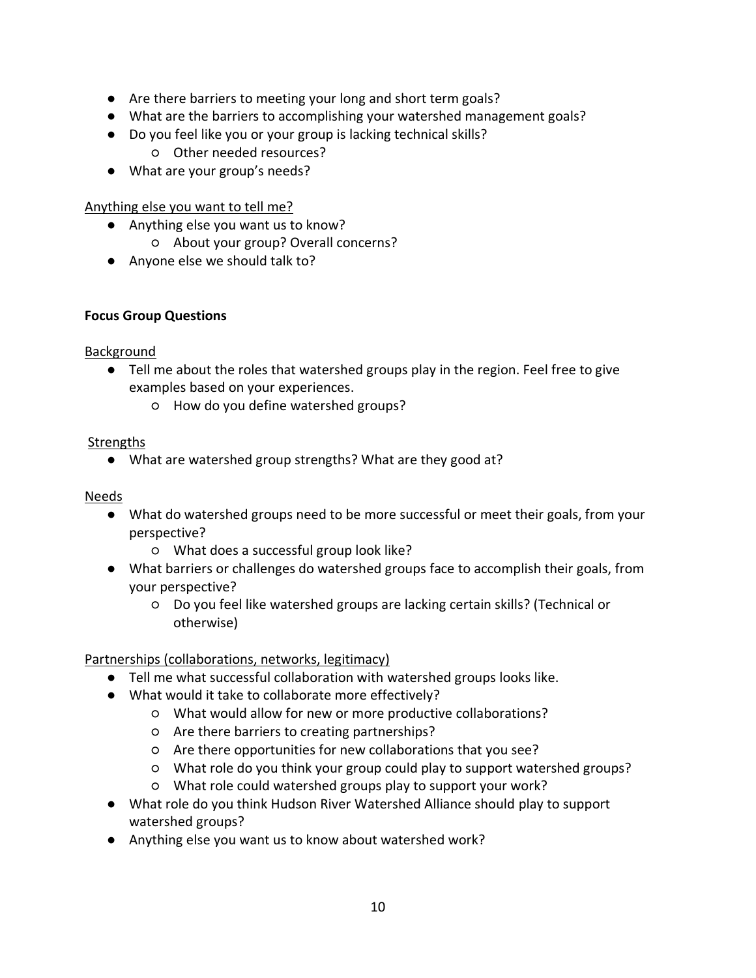- Are there barriers to meeting your long and short term goals?
- What are the barriers to accomplishing your watershed management goals?
- Do you feel like you or your group is lacking technical skills?
	- Other needed resources?
- What are your group's needs?

### Anything else you want to tell me?

- Anything else you want us to know?
	- About your group? Overall concerns?
- Anyone else we should talk to?

### **Focus Group Questions**

### Background

- Tell me about the roles that watershed groups play in the region. Feel free to give examples based on your experiences.
	- How do you define watershed groups?

# **Strengths**

● What are watershed group strengths? What are they good at?

### Needs

- What do watershed groups need to be more successful or meet their goals, from your perspective?
	- What does a successful group look like?
- What barriers or challenges do watershed groups face to accomplish their goals, from your perspective?
	- Do you feel like watershed groups are lacking certain skills? (Technical or otherwise)

# Partnerships (collaborations, networks, legitimacy)

- Tell me what successful collaboration with watershed groups looks like.
- What would it take to collaborate more effectively?
	- What would allow for new or more productive collaborations?
	- Are there barriers to creating partnerships?
	- Are there opportunities for new collaborations that you see?
	- What role do you think your group could play to support watershed groups?
	- What role could watershed groups play to support your work?
- What role do you think Hudson River Watershed Alliance should play to support watershed groups?
- Anything else you want us to know about watershed work?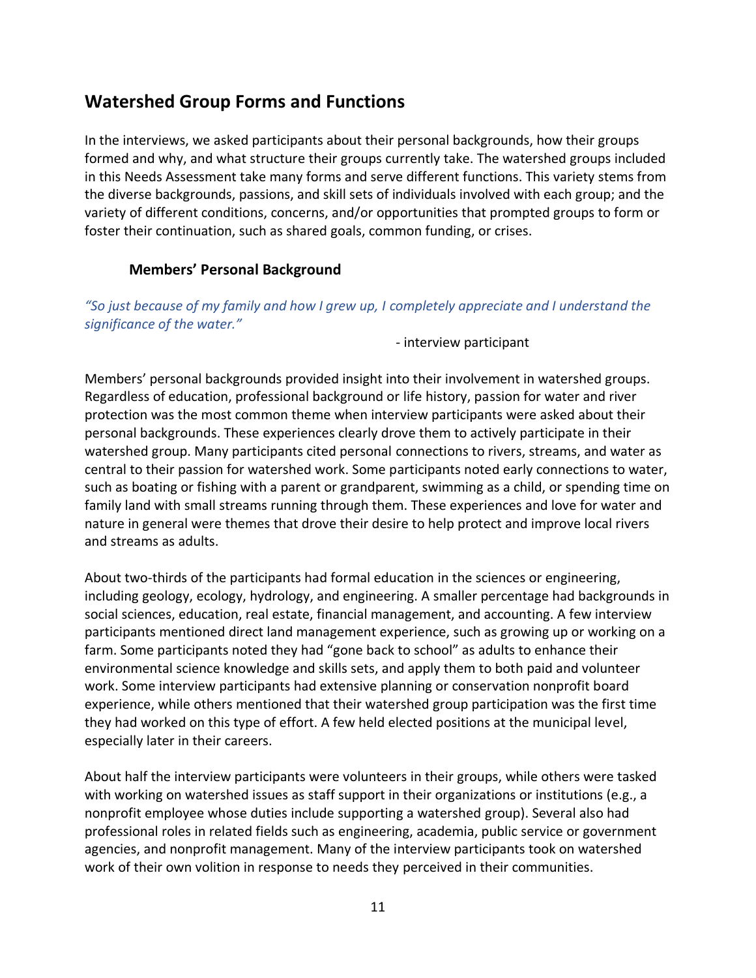# <span id="page-10-0"></span>**Watershed Group Forms and Functions**

In the interviews, we asked participants about their personal backgrounds, how their groups formed and why, and what structure their groups currently take. The watershed groups included in this Needs Assessment take many forms and serve different functions. This variety stems from the diverse backgrounds, passions, and skill sets of individuals involved with each group; and the variety of different conditions, concerns, and/or opportunities that prompted groups to form or foster their continuation, such as shared goals, common funding, or crises.

### **Members' Personal Background**

#### <span id="page-10-1"></span>*"So just because of my family and how I grew up, I completely appreciate and I understand the significance of the water."*

- interview participant

Members' personal backgrounds provided insight into their involvement in watershed groups. Regardless of education, professional background or life history, passion for water and river protection was the most common theme when interview participants were asked about their personal backgrounds. These experiences clearly drove them to actively participate in their watershed group. Many participants cited personal connections to rivers, streams, and water as central to their passion for watershed work. Some participants noted early connections to water, such as boating or fishing with a parent or grandparent, swimming as a child, or spending time on family land with small streams running through them. These experiences and love for water and nature in general were themes that drove their desire to help protect and improve local rivers and streams as adults.

About two-thirds of the participants had formal education in the sciences or engineering, including geology, ecology, hydrology, and engineering. A smaller percentage had backgrounds in social sciences, education, real estate, financial management, and accounting. A few interview participants mentioned direct land management experience, such as growing up or working on a farm. Some participants noted they had "gone back to school" as adults to enhance their environmental science knowledge and skills sets, and apply them to both paid and volunteer work. Some interview participants had extensive planning or conservation nonprofit board experience, while others mentioned that their watershed group participation was the first time they had worked on this type of effort. A few held elected positions at the municipal level, especially later in their careers.

About half the interview participants were volunteers in their groups, while others were tasked with working on watershed issues as staff support in their organizations or institutions (e.g., a nonprofit employee whose duties include supporting a watershed group). Several also had professional roles in related fields such as engineering, academia, public service or government agencies, and nonprofit management. Many of the interview participants took on watershed work of their own volition in response to needs they perceived in their communities.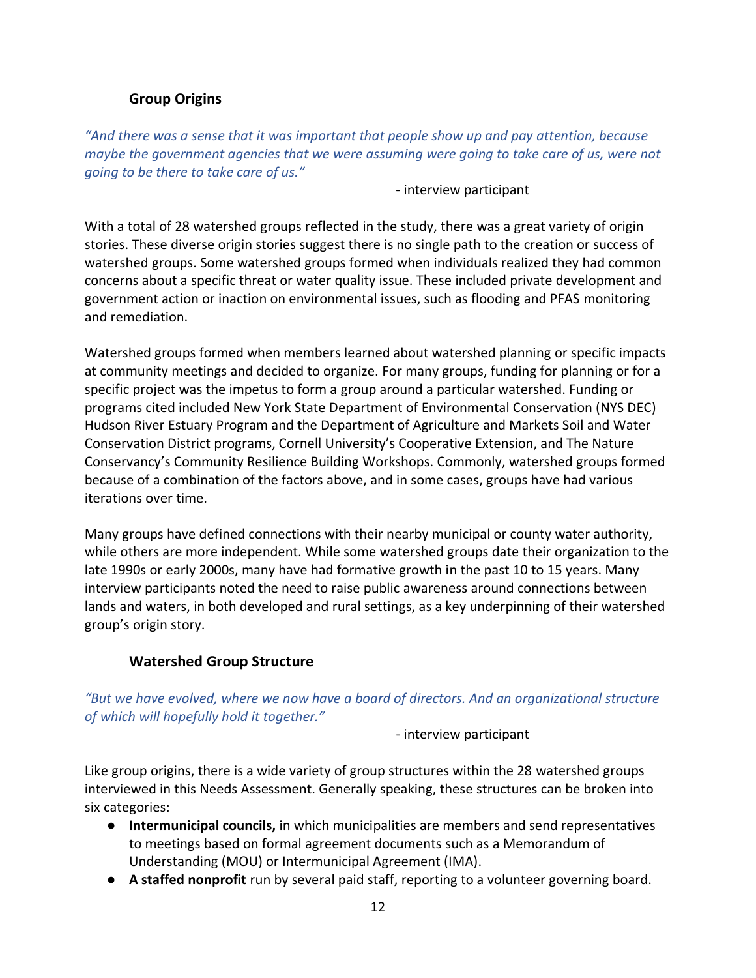### **Group Origins**

<span id="page-11-0"></span>*"And there was a sense that it was important that people show up and pay attention, because maybe the government agencies that we were assuming were going to take care of us, were not going to be there to take care of us."*

- interview participant

With a total of 28 watershed groups reflected in the study, there was a great variety of origin stories. These diverse origin stories suggest there is no single path to the creation or success of watershed groups. Some watershed groups formed when individuals realized they had common concerns about a specific threat or water quality issue. These included private development and government action or inaction on environmental issues, such as flooding and PFAS monitoring and remediation.

Watershed groups formed when members learned about watershed planning or specific impacts at community meetings and decided to organize. For many groups, funding for planning or for a specific project was the impetus to form a group around a particular watershed. Funding or programs cited included New York State Department of Environmental Conservation (NYS DEC) Hudson River Estuary Program and the Department of Agriculture and Markets Soil and Water Conservation District programs, Cornell University's Cooperative Extension, and The Nature Conservancy's Community Resilience Building Workshops. Commonly, watershed groups formed because of a combination of the factors above, and in some cases, groups have had various iterations over time.

Many groups have defined connections with their nearby municipal or county water authority, while others are more independent. While some watershed groups date their organization to the late 1990s or early 2000s, many have had formative growth in the past 10 to 15 years. Many interview participants noted the need to raise public awareness around connections between lands and waters, in both developed and rural settings, as a key underpinning of their watershed group's origin story.

### **Watershed Group Structure**

<span id="page-11-1"></span>*"But we have evolved, where we now have a board of directors. And an organizational structure of which will hopefully hold it together."*

- interview participant

Like group origins, there is a wide variety of group structures within the 28 watershed groups interviewed in this Needs Assessment. Generally speaking, these structures can be broken into six categories:

- **Intermunicipal councils,** in which municipalities are members and send representatives to meetings based on formal agreement documents such as a Memorandum of Understanding (MOU) or Intermunicipal Agreement (IMA).
- **A staffed nonprofit** run by several paid staff, reporting to a volunteer governing board.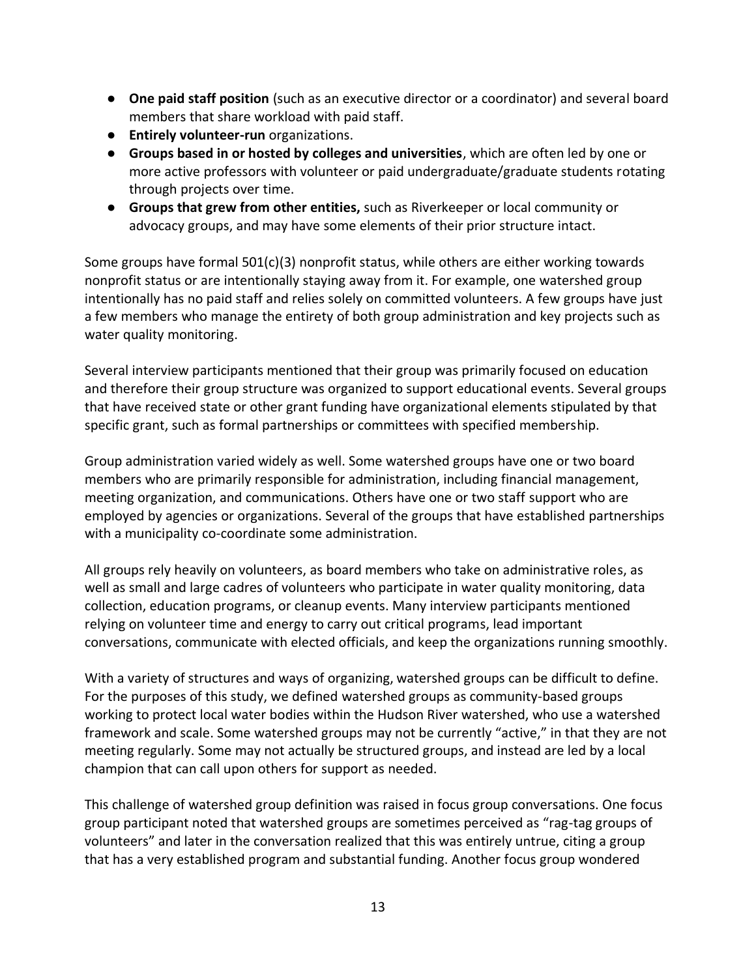- **One paid staff position** (such as an executive director or a coordinator) and several board members that share workload with paid staff.
- **Entirely volunteer-run** organizations.
- **Groups based in or hosted by colleges and universities**, which are often led by one or more active professors with volunteer or paid undergraduate/graduate students rotating through projects over time.
- **Groups that grew from other entities,** such as Riverkeeper or local community or advocacy groups, and may have some elements of their prior structure intact.

Some groups have formal  $501(c)(3)$  nonprofit status, while others are either working towards nonprofit status or are intentionally staying away from it. For example, one watershed group intentionally has no paid staff and relies solely on committed volunteers. A few groups have just a few members who manage the entirety of both group administration and key projects such as water quality monitoring.

Several interview participants mentioned that their group was primarily focused on education and therefore their group structure was organized to support educational events. Several groups that have received state or other grant funding have organizational elements stipulated by that specific grant, such as formal partnerships or committees with specified membership.

Group administration varied widely as well. Some watershed groups have one or two board members who are primarily responsible for administration, including financial management, meeting organization, and communications. Others have one or two staff support who are employed by agencies or organizations. Several of the groups that have established partnerships with a municipality co-coordinate some administration.

All groups rely heavily on volunteers, as board members who take on administrative roles, as well as small and large cadres of volunteers who participate in water quality monitoring, data collection, education programs, or cleanup events. Many interview participants mentioned relying on volunteer time and energy to carry out critical programs, lead important conversations, communicate with elected officials, and keep the organizations running smoothly.

With a variety of structures and ways of organizing, watershed groups can be difficult to define. For the purposes of this study, we defined watershed groups as community-based groups working to protect local water bodies within the Hudson River watershed, who use a watershed framework and scale. Some watershed groups may not be currently "active," in that they are not meeting regularly. Some may not actually be structured groups, and instead are led by a local champion that can call upon others for support as needed.

This challenge of watershed group definition was raised in focus group conversations. One focus group participant noted that watershed groups are sometimes perceived as "rag-tag groups of volunteers" and later in the conversation realized that this was entirely untrue, citing a group that has a very established program and substantial funding. Another focus group wondered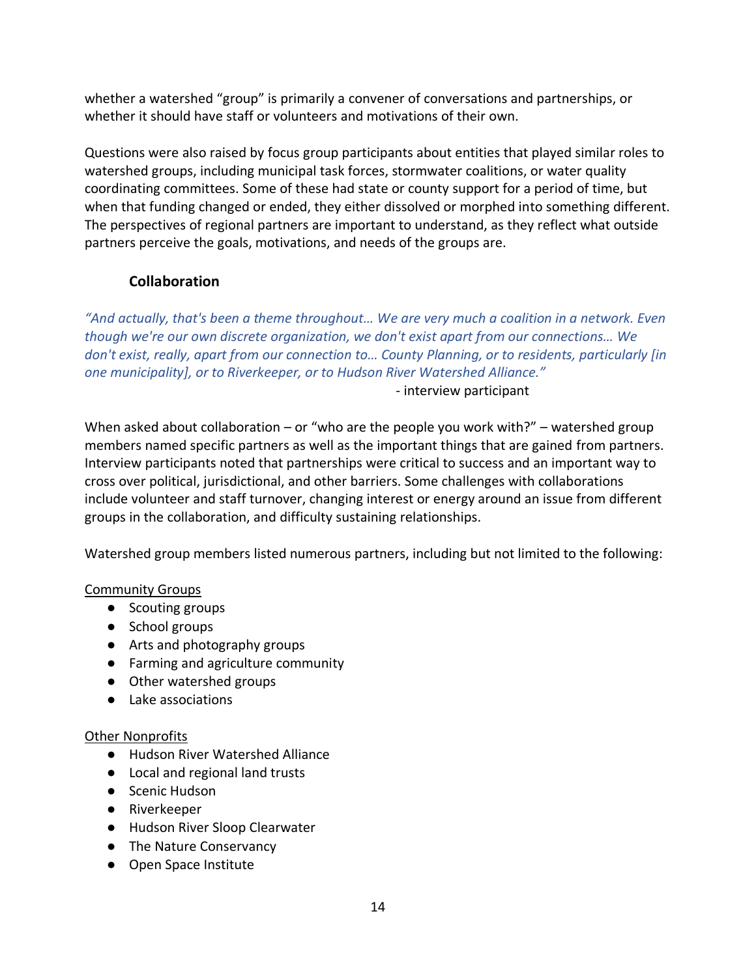whether a watershed "group" is primarily a convener of conversations and partnerships, or whether it should have staff or volunteers and motivations of their own.

Questions were also raised by focus group participants about entities that played similar roles to watershed groups, including municipal task forces, stormwater coalitions, or water quality coordinating committees. Some of these had state or county support for a period of time, but when that funding changed or ended, they either dissolved or morphed into something different. The perspectives of regional partners are important to understand, as they reflect what outside partners perceive the goals, motivations, and needs of the groups are.

# **Collaboration**

<span id="page-13-0"></span>*"And actually, that's been a theme throughout… We are very much a coalition in a network. Even though we're our own discrete organization, we don't exist apart from our connections… We don't exist, really, apart from our connection to… County Planning, or to residents, particularly [in one municipality], or to Riverkeeper, or to Hudson River Watershed Alliance."*

- interview participant

When asked about collaboration – or "who are the people you work with?" – watershed group members named specific partners as well as the important things that are gained from partners. Interview participants noted that partnerships were critical to success and an important way to cross over political, jurisdictional, and other barriers. Some challenges with collaborations include volunteer and staff turnover, changing interest or energy around an issue from different groups in the collaboration, and difficulty sustaining relationships.

Watershed group members listed numerous partners, including but not limited to the following:

### Community Groups

- Scouting groups
- School groups
- Arts and photography groups
- Farming and agriculture community
- Other watershed groups
- Lake associations

### Other Nonprofits

- Hudson River Watershed Alliance
- Local and regional land trusts
- Scenic Hudson
- Riverkeeper
- Hudson River Sloop Clearwater
- The Nature Conservancy
- Open Space Institute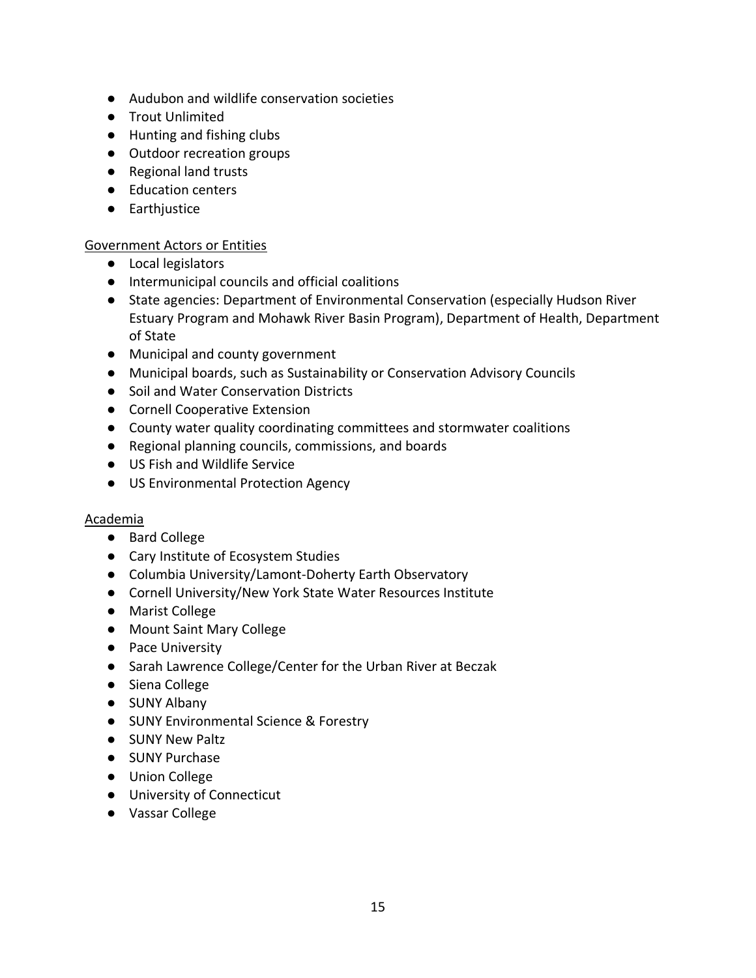- Audubon and wildlife conservation societies
- Trout Unlimited
- Hunting and fishing clubs
- Outdoor recreation groups
- Regional land trusts
- Education centers
- Earthjustice

### Government Actors or Entities

- Local legislators
- Intermunicipal councils and official coalitions
- State agencies: Department of Environmental Conservation (especially Hudson River Estuary Program and Mohawk River Basin Program), Department of Health, Department of State
- Municipal and county government
- Municipal boards, such as Sustainability or Conservation Advisory Councils
- Soil and Water Conservation Districts
- Cornell Cooperative Extension
- County water quality coordinating committees and stormwater coalitions
- Regional planning councils, commissions, and boards
- US Fish and Wildlife Service
- US Environmental Protection Agency

### Academia

- Bard College
- Cary Institute of Ecosystem Studies
- Columbia University/Lamont-Doherty Earth Observatory
- Cornell University/New York State Water Resources Institute
- Marist College
- Mount Saint Mary College
- Pace University
- Sarah Lawrence College/Center for the Urban River at Beczak
- Siena College
- SUNY Albany
- SUNY Environmental Science & Forestry
- SUNY New Paltz
- SUNY Purchase
- Union College
- University of Connecticut
- Vassar College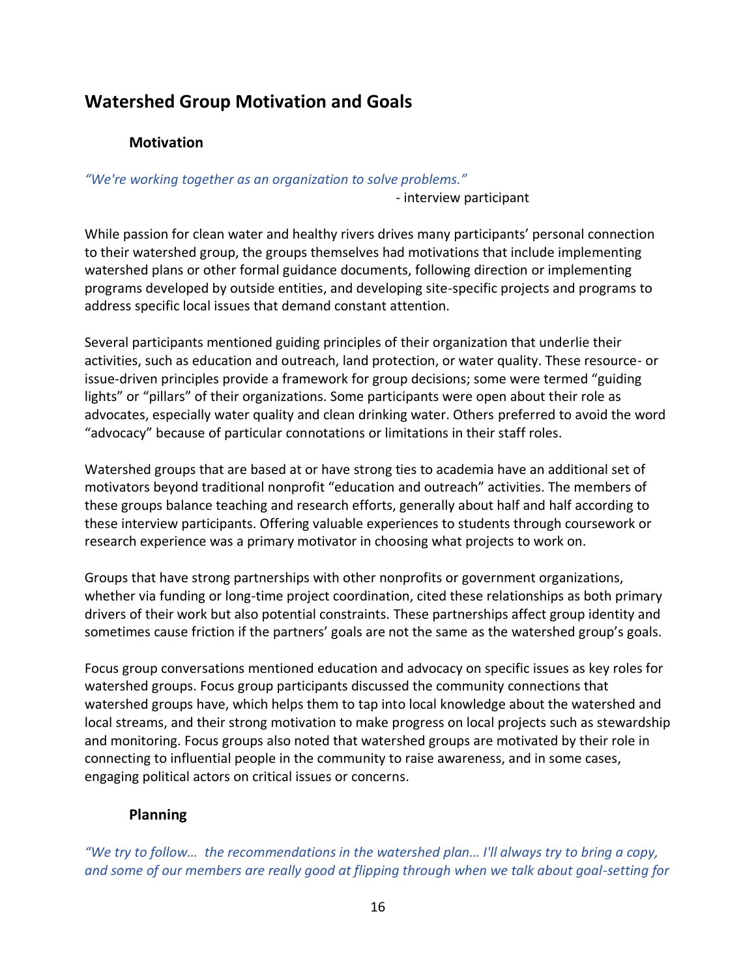# <span id="page-15-1"></span><span id="page-15-0"></span>**Watershed Group Motivation and Goals**

# **Motivation**

*"We're working together as an organization to solve problems."*

- interview participant

While passion for clean water and healthy rivers drives many participants' personal connection to their watershed group, the groups themselves had motivations that include implementing watershed plans or other formal guidance documents, following direction or implementing programs developed by outside entities, and developing site-specific projects and programs to address specific local issues that demand constant attention.

Several participants mentioned guiding principles of their organization that underlie their activities, such as education and outreach, land protection, or water quality. These resource- or issue-driven principles provide a framework for group decisions; some were termed "guiding lights" or "pillars" of their organizations. Some participants were open about their role as advocates, especially water quality and clean drinking water. Others preferred to avoid the word "advocacy" because of particular connotations or limitations in their staff roles.

Watershed groups that are based at or have strong ties to academia have an additional set of motivators beyond traditional nonprofit "education and outreach" activities. The members of these groups balance teaching and research efforts, generally about half and half according to these interview participants. Offering valuable experiences to students through coursework or research experience was a primary motivator in choosing what projects to work on.

Groups that have strong partnerships with other nonprofits or government organizations, whether via funding or long-time project coordination, cited these relationships as both primary drivers of their work but also potential constraints. These partnerships affect group identity and sometimes cause friction if the partners' goals are not the same as the watershed group's goals.

Focus group conversations mentioned education and advocacy on specific issues as key roles for watershed groups. Focus group participants discussed the community connections that watershed groups have, which helps them to tap into local knowledge about the watershed and local streams, and their strong motivation to make progress on local projects such as stewardship and monitoring. Focus groups also noted that watershed groups are motivated by their role in connecting to influential people in the community to raise awareness, and in some cases, engaging political actors on critical issues or concerns.

# <span id="page-15-2"></span>**Planning**

*"We try to follow… the recommendations in the watershed plan… I'll always try to bring a copy, and some of our members are really good at flipping through when we talk about goal-setting for*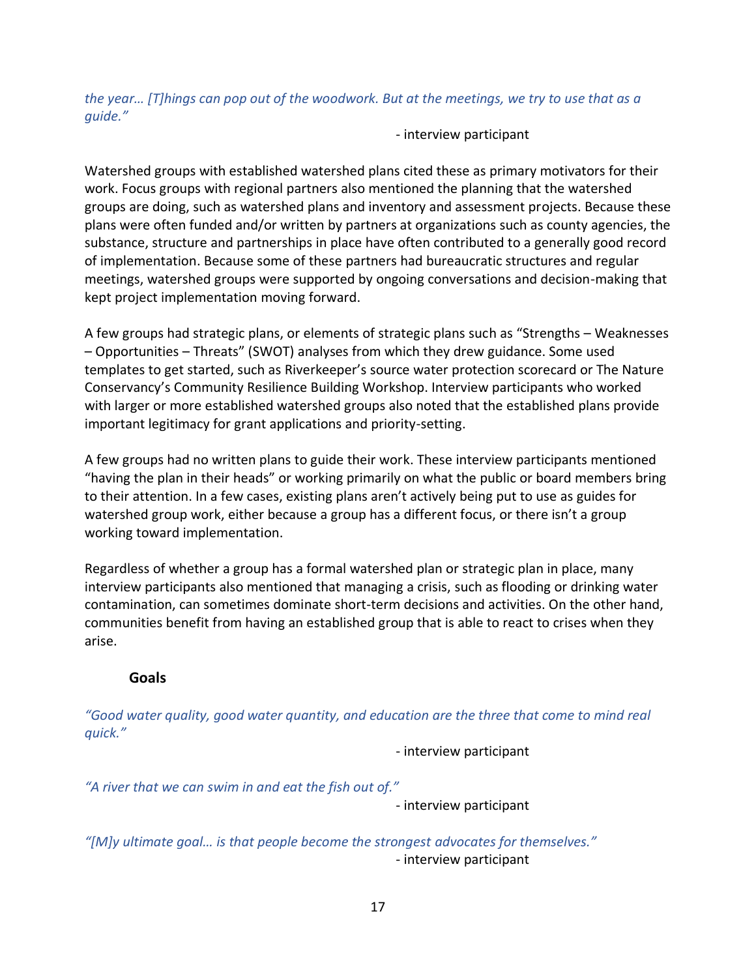*the year… [T]hings can pop out of the woodwork. But at the meetings, we try to use that as a guide."*

- interview participant

Watershed groups with established watershed plans cited these as primary motivators for their work. Focus groups with regional partners also mentioned the planning that the watershed groups are doing, such as watershed plans and inventory and assessment projects. Because these plans were often funded and/or written by partners at organizations such as county agencies, the substance, structure and partnerships in place have often contributed to a generally good record of implementation. Because some of these partners had bureaucratic structures and regular meetings, watershed groups were supported by ongoing conversations and decision-making that kept project implementation moving forward.

A few groups had strategic plans, or elements of strategic plans such as "Strengths – Weaknesses – Opportunities – Threats" (SWOT) analyses from which they drew guidance. Some used templates to get started, such as Riverkeeper's source water protection scorecard or The Nature Conservancy's Community Resilience Building Workshop. Interview participants who worked with larger or more established watershed groups also noted that the established plans provide important legitimacy for grant applications and priority-setting.

A few groups had no written plans to guide their work. These interview participants mentioned "having the plan in their heads" or working primarily on what the public or board members bring to their attention. In a few cases, existing plans aren't actively being put to use as guides for watershed group work, either because a group has a different focus, or there isn't a group working toward implementation.

Regardless of whether a group has a formal watershed plan or strategic plan in place, many interview participants also mentioned that managing a crisis, such as flooding or drinking water contamination, can sometimes dominate short-term decisions and activities. On the other hand, communities benefit from having an established group that is able to react to crises when they arise.

### <span id="page-16-0"></span>**Goals**

*"Good water quality, good water quantity, and education are the three that come to mind real quick."*

- interview participant

*"A river that we can swim in and eat the fish out of."*

- interview participant

*"[M]y ultimate goal… is that people become the strongest advocates for themselves."* - interview participant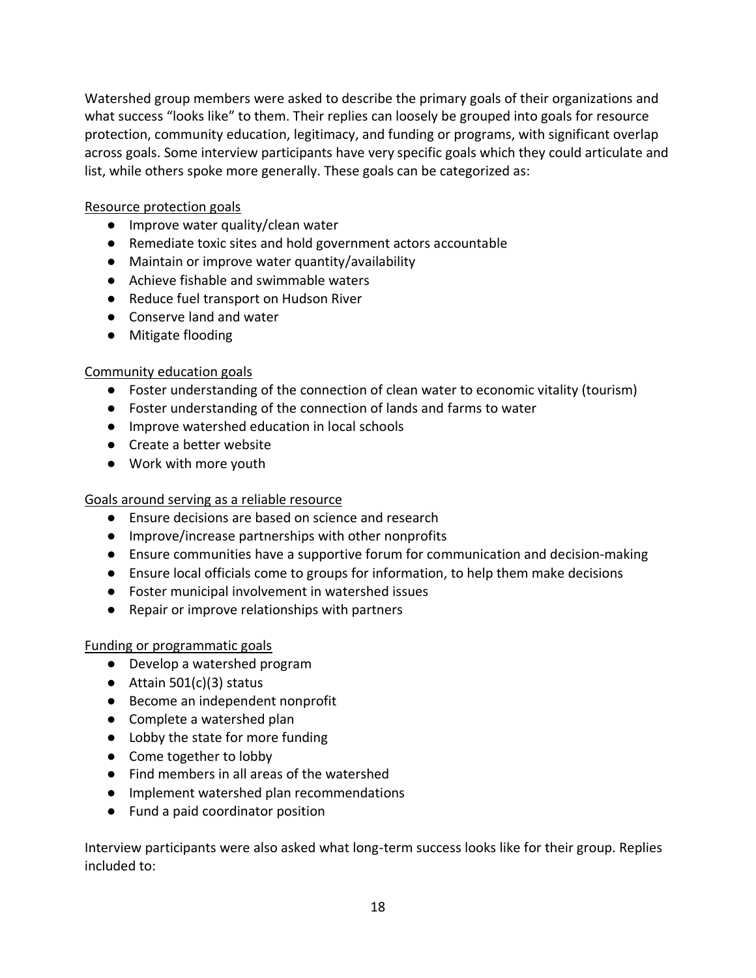Watershed group members were asked to describe the primary goals of their organizations and what success "looks like" to them. Their replies can loosely be grouped into goals for resource protection, community education, legitimacy, and funding or programs, with significant overlap across goals. Some interview participants have very specific goals which they could articulate and list, while others spoke more generally. These goals can be categorized as:

Resource protection goals

- Improve water quality/clean water
- Remediate toxic sites and hold government actors accountable
- Maintain or improve water quantity/availability
- Achieve fishable and swimmable waters
- Reduce fuel transport on Hudson River
- Conserve land and water
- Mitigate flooding

### Community education goals

- Foster understanding of the connection of clean water to economic vitality (tourism)
- Foster understanding of the connection of lands and farms to water
- Improve watershed education in local schools
- Create a better website
- Work with more youth

### Goals around serving as a reliable resource

- Ensure decisions are based on science and research
- Improve/increase partnerships with other nonprofits
- Ensure communities have a supportive forum for communication and decision-making
- Ensure local officials come to groups for information, to help them make decisions
- Foster municipal involvement in watershed issues
- Repair or improve relationships with partners

### Funding or programmatic goals

- Develop a watershed program
- $\bullet$  Attain 501(c)(3) status
- Become an independent nonprofit
- Complete a watershed plan
- Lobby the state for more funding
- Come together to lobby
- Find members in all areas of the watershed
- Implement watershed plan recommendations
- Fund a paid coordinator position

Interview participants were also asked what long-term success looks like for their group. Replies included to: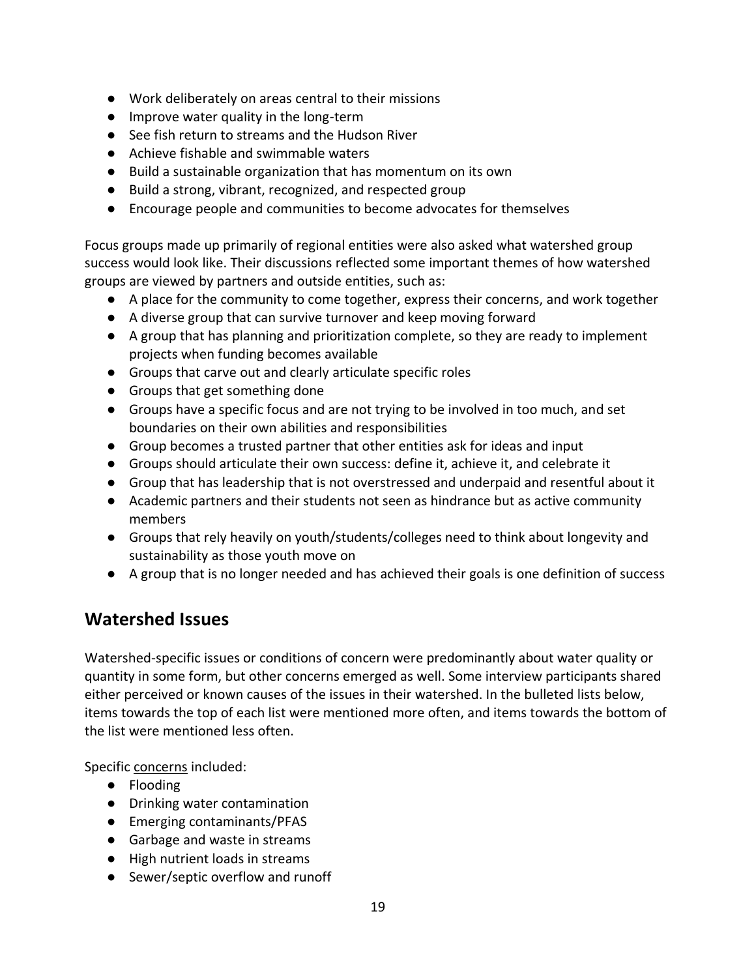- Work deliberately on areas central to their missions
- Improve water quality in the long-term
- See fish return to streams and the Hudson River
- Achieve fishable and swimmable waters
- Build a sustainable organization that has momentum on its own
- Build a strong, vibrant, recognized, and respected group
- Encourage people and communities to become advocates for themselves

Focus groups made up primarily of regional entities were also asked what watershed group success would look like. Their discussions reflected some important themes of how watershed groups are viewed by partners and outside entities, such as:

- A place for the community to come together, express their concerns, and work together
- A diverse group that can survive turnover and keep moving forward
- A group that has planning and prioritization complete, so they are ready to implement projects when funding becomes available
- Groups that carve out and clearly articulate specific roles
- Groups that get something done
- Groups have a specific focus and are not trying to be involved in too much, and set boundaries on their own abilities and responsibilities
- Group becomes a trusted partner that other entities ask for ideas and input
- Groups should articulate their own success: define it, achieve it, and celebrate it
- Group that has leadership that is not overstressed and underpaid and resentful about it
- Academic partners and their students not seen as hindrance but as active community members
- Groups that rely heavily on youth/students/colleges need to think about longevity and sustainability as those youth move on
- A group that is no longer needed and has achieved their goals is one definition of success

# <span id="page-18-0"></span>**Watershed Issues**

Watershed-specific issues or conditions of concern were predominantly about water quality or quantity in some form, but other concerns emerged as well. Some interview participants shared either perceived or known causes of the issues in their watershed. In the bulleted lists below, items towards the top of each list were mentioned more often, and items towards the bottom of the list were mentioned less often.

Specific concerns included:

- Flooding
- Drinking water contamination
- Emerging contaminants/PFAS
- Garbage and waste in streams
- High nutrient loads in streams
- Sewer/septic overflow and runoff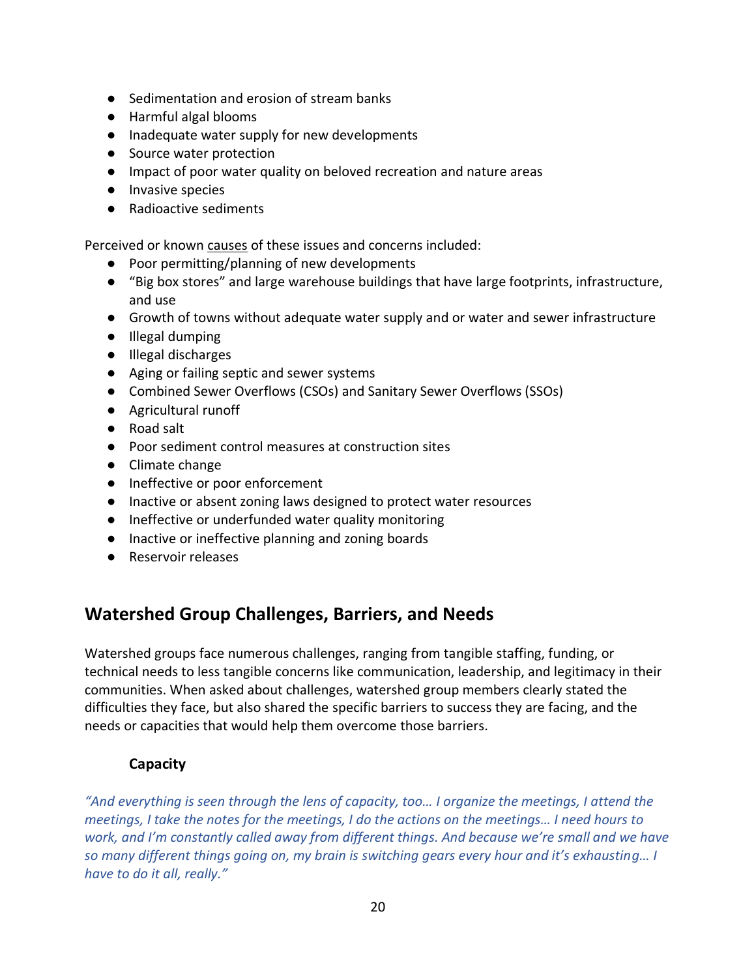- Sedimentation and erosion of stream banks
- Harmful algal blooms
- Inadequate water supply for new developments
- Source water protection
- Impact of poor water quality on beloved recreation and nature areas
- Invasive species
- Radioactive sediments

Perceived or known causes of these issues and concerns included:

- Poor permitting/planning of new developments
- "Big box stores" and large warehouse buildings that have large footprints, infrastructure, and use
- Growth of towns without adequate water supply and or water and sewer infrastructure
- Illegal dumping
- Illegal discharges
- Aging or failing septic and sewer systems
- Combined Sewer Overflows (CSOs) and Sanitary Sewer Overflows (SSOs)
- Agricultural runoff
- Road salt
- Poor sediment control measures at construction sites
- Climate change
- Ineffective or poor enforcement
- Inactive or absent zoning laws designed to protect water resources
- Ineffective or underfunded water quality monitoring
- Inactive or ineffective planning and zoning boards
- Reservoir releases

# <span id="page-19-0"></span>**Watershed Group Challenges, Barriers, and Needs**

Watershed groups face numerous challenges, ranging from tangible staffing, funding, or technical needs to less tangible concerns like communication, leadership, and legitimacy in their communities. When asked about challenges, watershed group members clearly stated the difficulties they face, but also shared the specific barriers to success they are facing, and the needs or capacities that would help them overcome those barriers.

# **Capacity**

<span id="page-19-1"></span>*"And everything is seen through the lens of capacity, too… I organize the meetings, I attend the meetings, I take the notes for the meetings, I do the actions on the meetings… I need hours to work, and I'm constantly called away from different things. And because we're small and we have so many different things going on, my brain is switching gears every hour and it's exhausting… I have to do it all, really."*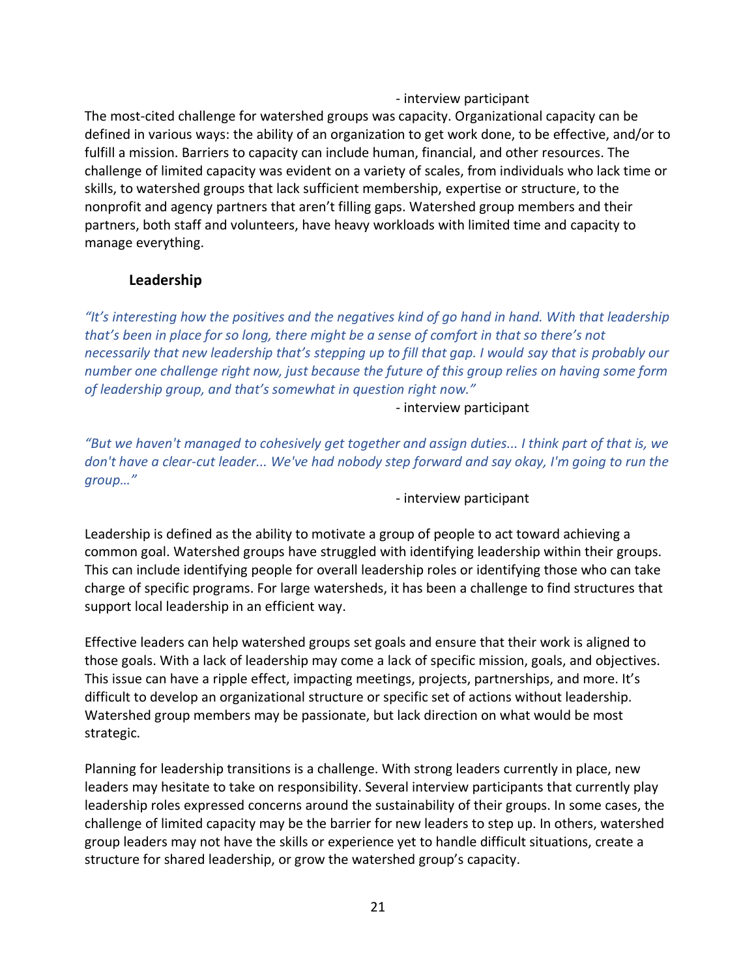- interview participant

The most-cited challenge for watershed groups was capacity. Organizational capacity can be defined in various ways: the ability of an organization to get work done, to be effective, and/or to fulfill a mission. Barriers to capacity can include human, financial, and other resources. The challenge of limited capacity was evident on a variety of scales, from individuals who lack time or skills, to watershed groups that lack sufficient membership, expertise or structure, to the nonprofit and agency partners that aren't filling gaps. Watershed group members and their partners, both staff and volunteers, have heavy workloads with limited time and capacity to manage everything.

### **Leadership**

<span id="page-20-0"></span>*"It's interesting how the positives and the negatives kind of go hand in hand. With that leadership that's been in place for so long, there might be a sense of comfort in that so there's not necessarily that new leadership that's stepping up to fill that gap. I would say that is probably our number one challenge right now, just because the future of this group relies on having some form of leadership group, and that's somewhat in question right now."*

- interview participant

*"But we haven't managed to cohesively get together and assign duties... I think part of that is, we don't have a clear-cut leader... We've had nobody step forward and say okay, I'm going to run the group…"*

- interview participant

Leadership is defined as the ability to motivate a group of people to act toward achieving a common goal. Watershed groups have struggled with identifying leadership within their groups. This can include identifying people for overall leadership roles or identifying those who can take charge of specific programs. For large watersheds, it has been a challenge to find structures that support local leadership in an efficient way.

Effective leaders can help watershed groups set goals and ensure that their work is aligned to those goals. With a lack of leadership may come a lack of specific mission, goals, and objectives. This issue can have a ripple effect, impacting meetings, projects, partnerships, and more. It's difficult to develop an organizational structure or specific set of actions without leadership. Watershed group members may be passionate, but lack direction on what would be most strategic.

Planning for leadership transitions is a challenge. With strong leaders currently in place, new leaders may hesitate to take on responsibility. Several interview participants that currently play leadership roles expressed concerns around the sustainability of their groups. In some cases, the challenge of limited capacity may be the barrier for new leaders to step up. In others, watershed group leaders may not have the skills or experience yet to handle difficult situations, create a structure for shared leadership, or grow the watershed group's capacity.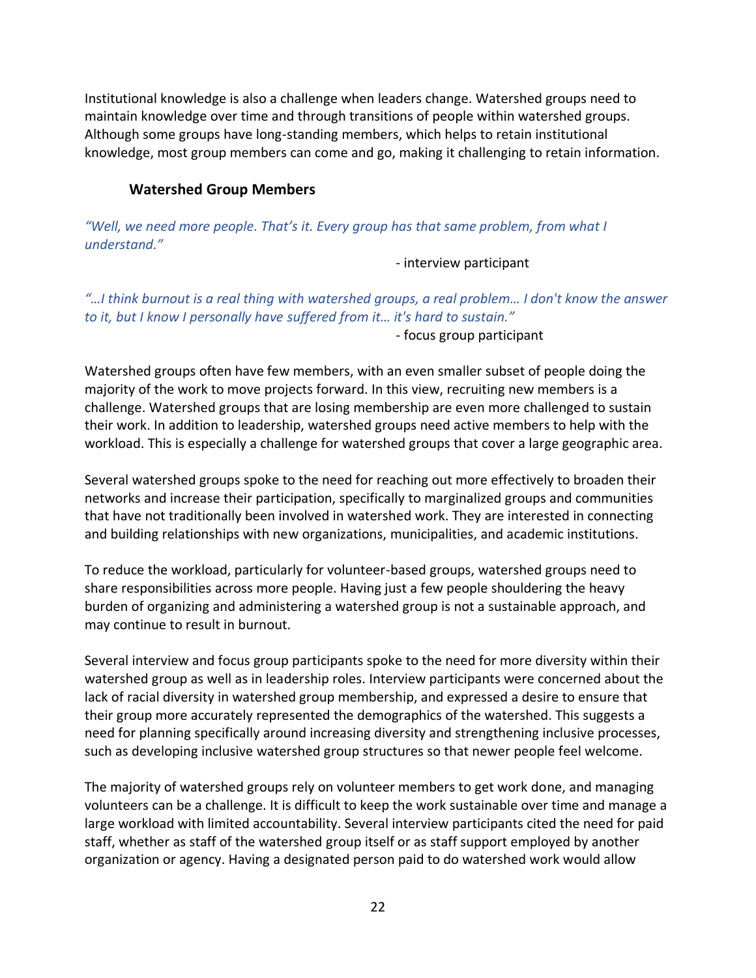Institutional knowledge is also a challenge when leaders change. Watershed groups need to maintain knowledge over time and through transitions of people within watershed groups. Although some groups have long-standing members, which helps to retain institutional knowledge, most group members can come and go, making it challenging to retain information.

#### **Watershed Group Members**

<span id="page-21-0"></span>*"Well, we need more people. That's it. Every group has that same problem, from what I understand."*

- interview participant

*"…I think burnout is a real thing with watershed groups, a real problem… I don't know the answer to it, but I know I personally have suffered from it… it's hard to sustain."*

- focus group participant

Watershed groups often have few members, with an even smaller subset of people doing the majority of the work to move projects forward. In this view, recruiting new members is a challenge. Watershed groups that are losing membership are even more challenged to sustain their work. In addition to leadership, watershed groups need active members to help with the workload. This is especially a challenge for watershed groups that cover a large geographic area.

Several watershed groups spoke to the need for reaching out more effectively to broaden their networks and increase their participation, specifically to marginalized groups and communities that have not traditionally been involved in watershed work. They are interested in connecting and building relationships with new organizations, municipalities, and academic institutions.

To reduce the workload, particularly for volunteer-based groups, watershed groups need to share responsibilities across more people. Having just a few people shouldering the heavy burden of organizing and administering a watershed group is not a sustainable approach, and may continue to result in burnout.

Several interview and focus group participants spoke to the need for more diversity within their watershed group as well as in leadership roles. Interview participants were concerned about the lack of racial diversity in watershed group membership, and expressed a desire to ensure that their group more accurately represented the demographics of the watershed. This suggests a need for planning specifically around increasing diversity and strengthening inclusive processes, such as developing inclusive watershed group structures so that newer people feel welcome.

The majority of watershed groups rely on volunteer members to get work done, and managing volunteers can be a challenge. It is difficult to keep the work sustainable over time and manage a large workload with limited accountability. Several interview participants cited the need for paid staff, whether as staff of the watershed group itself or as staff support employed by another organization or agency. Having a designated person paid to do watershed work would allow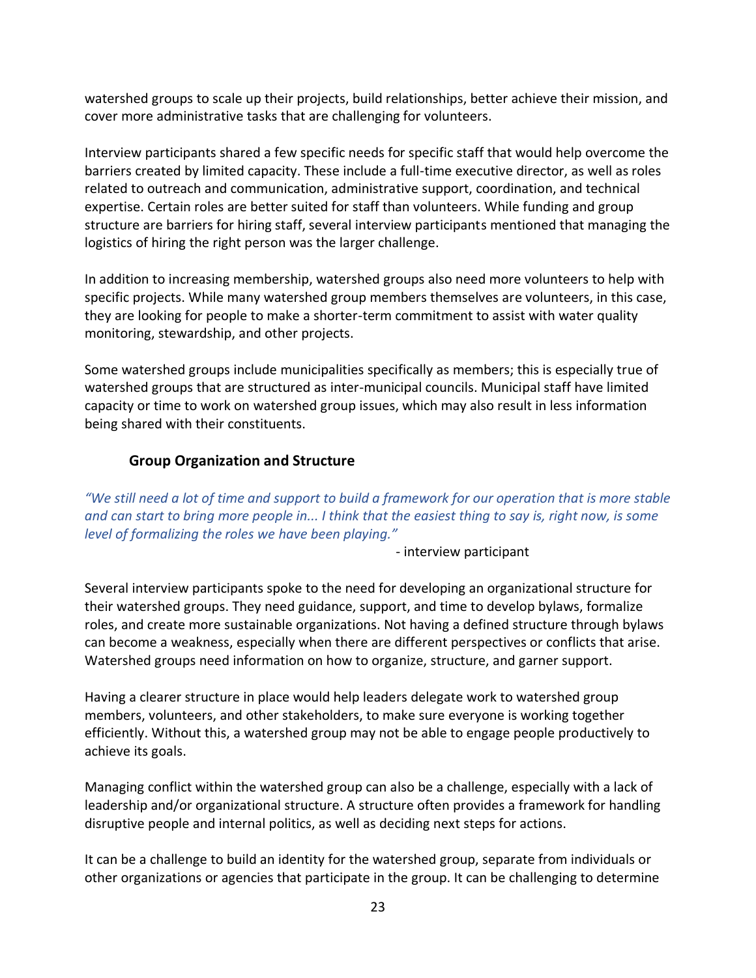watershed groups to scale up their projects, build relationships, better achieve their mission, and cover more administrative tasks that are challenging for volunteers.

Interview participants shared a few specific needs for specific staff that would help overcome the barriers created by limited capacity. These include a full-time executive director, as well as roles related to outreach and communication, administrative support, coordination, and technical expertise. Certain roles are better suited for staff than volunteers. While funding and group structure are barriers for hiring staff, several interview participants mentioned that managing the logistics of hiring the right person was the larger challenge.

In addition to increasing membership, watershed groups also need more volunteers to help with specific projects. While many watershed group members themselves are volunteers, in this case, they are looking for people to make a shorter-term commitment to assist with water quality monitoring, stewardship, and other projects.

Some watershed groups include municipalities specifically as members; this is especially true of watershed groups that are structured as inter-municipal councils. Municipal staff have limited capacity or time to work on watershed group issues, which may also result in less information being shared with their constituents.

### **Group Organization and Structure**

<span id="page-22-0"></span>*"We still need a lot of time and support to build a framework for our operation that is more stable and can start to bring more people in... I think that the easiest thing to say is, right now, is some level of formalizing the roles we have been playing."*

- interview participant

Several interview participants spoke to the need for developing an organizational structure for their watershed groups. They need guidance, support, and time to develop bylaws, formalize roles, and create more sustainable organizations. Not having a defined structure through bylaws can become a weakness, especially when there are different perspectives or conflicts that arise. Watershed groups need information on how to organize, structure, and garner support.

Having a clearer structure in place would help leaders delegate work to watershed group members, volunteers, and other stakeholders, to make sure everyone is working together efficiently. Without this, a watershed group may not be able to engage people productively to achieve its goals.

Managing conflict within the watershed group can also be a challenge, especially with a lack of leadership and/or organizational structure. A structure often provides a framework for handling disruptive people and internal politics, as well as deciding next steps for actions.

It can be a challenge to build an identity for the watershed group, separate from individuals or other organizations or agencies that participate in the group. It can be challenging to determine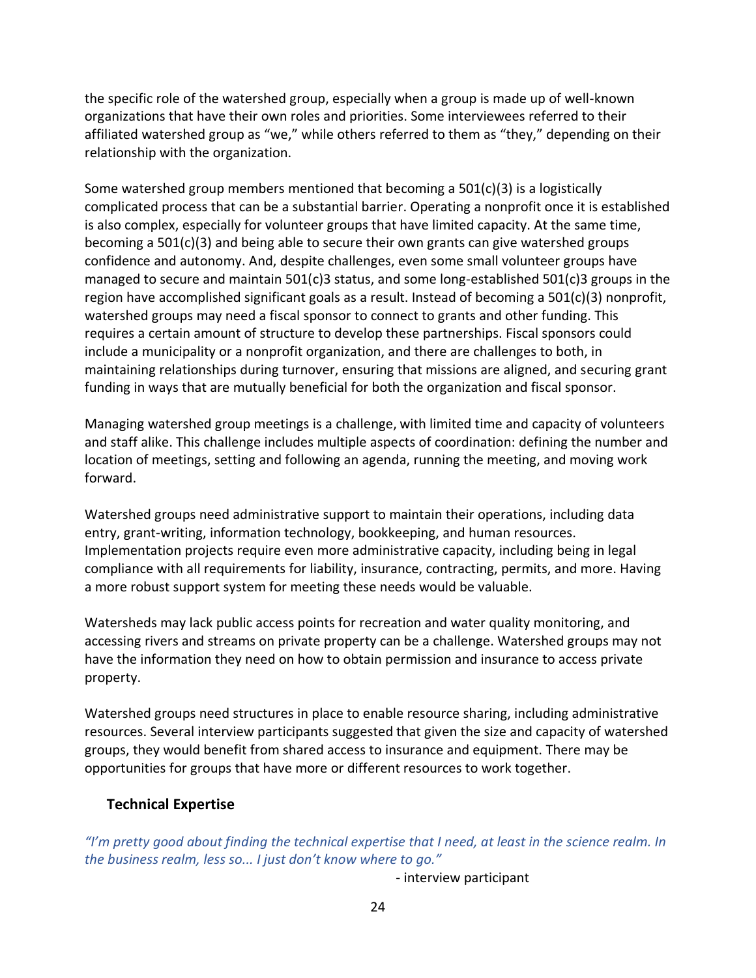the specific role of the watershed group, especially when a group is made up of well-known organizations that have their own roles and priorities. Some interviewees referred to their affiliated watershed group as "we," while others referred to them as "they," depending on their relationship with the organization.

Some watershed group members mentioned that becoming a  $501(c)(3)$  is a logistically complicated process that can be a substantial barrier. Operating a nonprofit once it is established is also complex, especially for volunteer groups that have limited capacity. At the same time, becoming a 501(c)(3) and being able to secure their own grants can give watershed groups confidence and autonomy. And, despite challenges, even some small volunteer groups have managed to secure and maintain 501(c)3 status, and some long-established 501(c)3 groups in the region have accomplished significant goals as a result. Instead of becoming a  $501(c)(3)$  nonprofit, watershed groups may need a fiscal sponsor to connect to grants and other funding. This requires a certain amount of structure to develop these partnerships. Fiscal sponsors could include a municipality or a nonprofit organization, and there are challenges to both, in maintaining relationships during turnover, ensuring that missions are aligned, and securing grant funding in ways that are mutually beneficial for both the organization and fiscal sponsor.

Managing watershed group meetings is a challenge, with limited time and capacity of volunteers and staff alike. This challenge includes multiple aspects of coordination: defining the number and location of meetings, setting and following an agenda, running the meeting, and moving work forward.

Watershed groups need administrative support to maintain their operations, including data entry, grant-writing, information technology, bookkeeping, and human resources. Implementation projects require even more administrative capacity, including being in legal compliance with all requirements for liability, insurance, contracting, permits, and more. Having a more robust support system for meeting these needs would be valuable.

Watersheds may lack public access points for recreation and water quality monitoring, and accessing rivers and streams on private property can be a challenge. Watershed groups may not have the information they need on how to obtain permission and insurance to access private property.

Watershed groups need structures in place to enable resource sharing, including administrative resources. Several interview participants suggested that given the size and capacity of watershed groups, they would benefit from shared access to insurance and equipment. There may be opportunities for groups that have more or different resources to work together.

### <span id="page-23-0"></span>**Technical Expertise**

*"I'm pretty good about finding the technical expertise that I need, at least in the science realm. In the business realm, less so... I just don't know where to go."*

- interview participant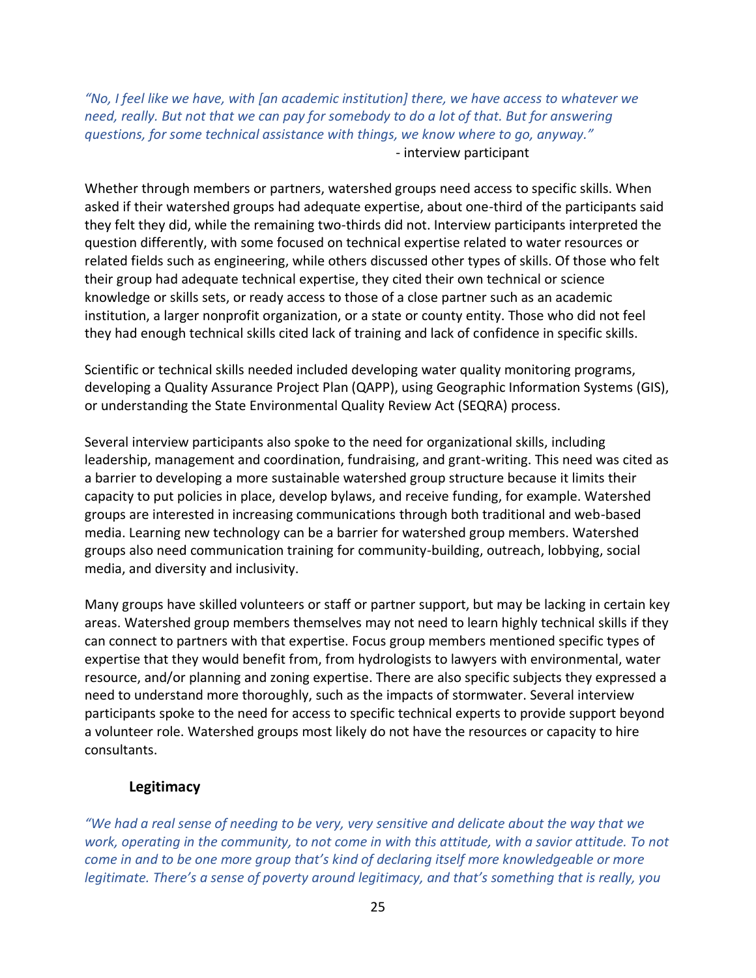*"No, I feel like we have, with [an academic institution] there, we have access to whatever we need, really. But not that we can pay for somebody to do a lot of that. But for answering questions, for some technical assistance with things, we know where to go, anyway."* - interview participant

Whether through members or partners, watershed groups need access to specific skills. When asked if their watershed groups had adequate expertise, about one-third of the participants said they felt they did, while the remaining two-thirds did not. Interview participants interpreted the question differently, with some focused on technical expertise related to water resources or related fields such as engineering, while others discussed other types of skills. Of those who felt their group had adequate technical expertise, they cited their own technical or science knowledge or skills sets, or ready access to those of a close partner such as an academic institution, a larger nonprofit organization, or a state or county entity. Those who did not feel they had enough technical skills cited lack of training and lack of confidence in specific skills.

Scientific or technical skills needed included developing water quality monitoring programs, developing a Quality Assurance Project Plan (QAPP), using Geographic Information Systems (GIS), or understanding the State Environmental Quality Review Act (SEQRA) process.

Several interview participants also spoke to the need for organizational skills, including leadership, management and coordination, fundraising, and grant-writing. This need was cited as a barrier to developing a more sustainable watershed group structure because it limits their capacity to put policies in place, develop bylaws, and receive funding, for example. Watershed groups are interested in increasing communications through both traditional and web-based media. Learning new technology can be a barrier for watershed group members. Watershed groups also need communication training for community-building, outreach, lobbying, social media, and diversity and inclusivity.

Many groups have skilled volunteers or staff or partner support, but may be lacking in certain key areas. Watershed group members themselves may not need to learn highly technical skills if they can connect to partners with that expertise. Focus group members mentioned specific types of expertise that they would benefit from, from hydrologists to lawyers with environmental, water resource, and/or planning and zoning expertise. There are also specific subjects they expressed a need to understand more thoroughly, such as the impacts of stormwater. Several interview participants spoke to the need for access to specific technical experts to provide support beyond a volunteer role. Watershed groups most likely do not have the resources or capacity to hire consultants.

### **Legitimacy**

<span id="page-24-0"></span>*"We had a real sense of needing to be very, very sensitive and delicate about the way that we work, operating in the community, to not come in with this attitude, with a savior attitude. To not come in and to be one more group that's kind of declaring itself more knowledgeable or more legitimate. There's a sense of poverty around legitimacy, and that's something that is really, you*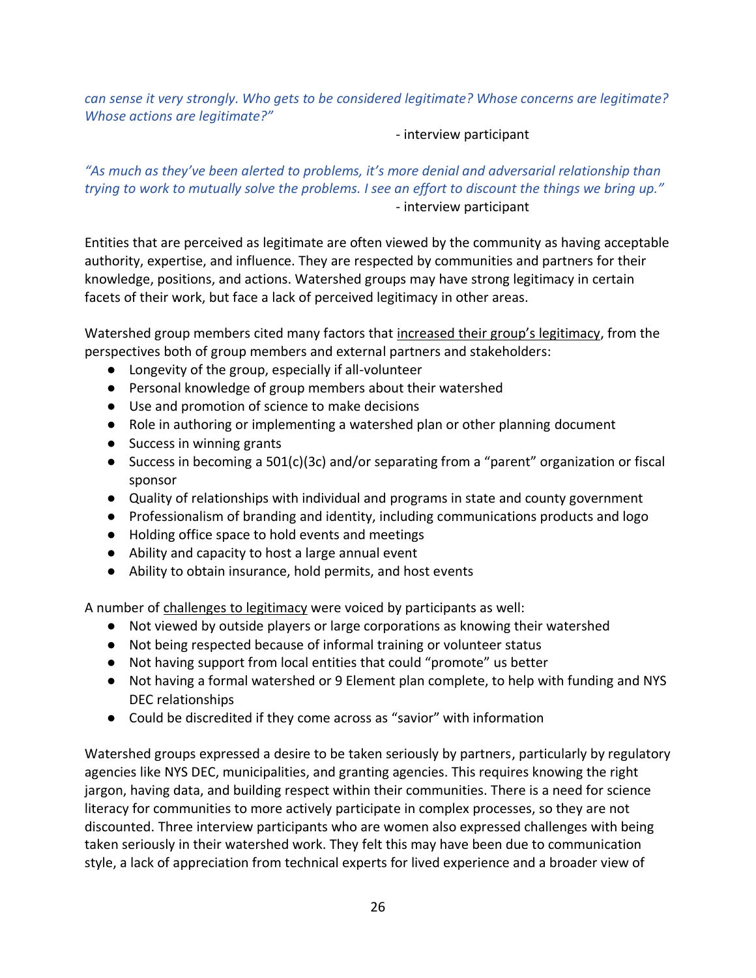*can sense it very strongly. Who gets to be considered legitimate? Whose concerns are legitimate? Whose actions are legitimate?"*

#### - interview participant

*"As much as they've been alerted to problems, it's more denial and adversarial relationship than trying to work to mutually solve the problems. I see an effort to discount the things we bring up."* - interview participant

Entities that are perceived as legitimate are often viewed by the community as having acceptable authority, expertise, and influence. They are respected by communities and partners for their knowledge, positions, and actions. Watershed groups may have strong legitimacy in certain facets of their work, but face a lack of perceived legitimacy in other areas.

Watershed group members cited many factors that increased their group's legitimacy, from the perspectives both of group members and external partners and stakeholders:

- Longevity of the group, especially if all-volunteer
- Personal knowledge of group members about their watershed
- Use and promotion of science to make decisions
- Role in authoring or implementing a watershed plan or other planning document
- Success in winning grants
- Success in becoming a 501(c)(3c) and/or separating from a "parent" organization or fiscal sponsor
- Quality of relationships with individual and programs in state and county government
- Professionalism of branding and identity, including communications products and logo
- Holding office space to hold events and meetings
- Ability and capacity to host a large annual event
- Ability to obtain insurance, hold permits, and host events

A number of challenges to legitimacy were voiced by participants as well:

- Not viewed by outside players or large corporations as knowing their watershed
- Not being respected because of informal training or volunteer status
- Not having support from local entities that could "promote" us better
- Not having a formal watershed or 9 Element plan complete, to help with funding and NYS DEC relationships
- Could be discredited if they come across as "savior" with information

Watershed groups expressed a desire to be taken seriously by partners, particularly by regulatory agencies like NYS DEC, municipalities, and granting agencies. This requires knowing the right jargon, having data, and building respect within their communities. There is a need for science literacy for communities to more actively participate in complex processes, so they are not discounted. Three interview participants who are women also expressed challenges with being taken seriously in their watershed work. They felt this may have been due to communication style, a lack of appreciation from technical experts for lived experience and a broader view of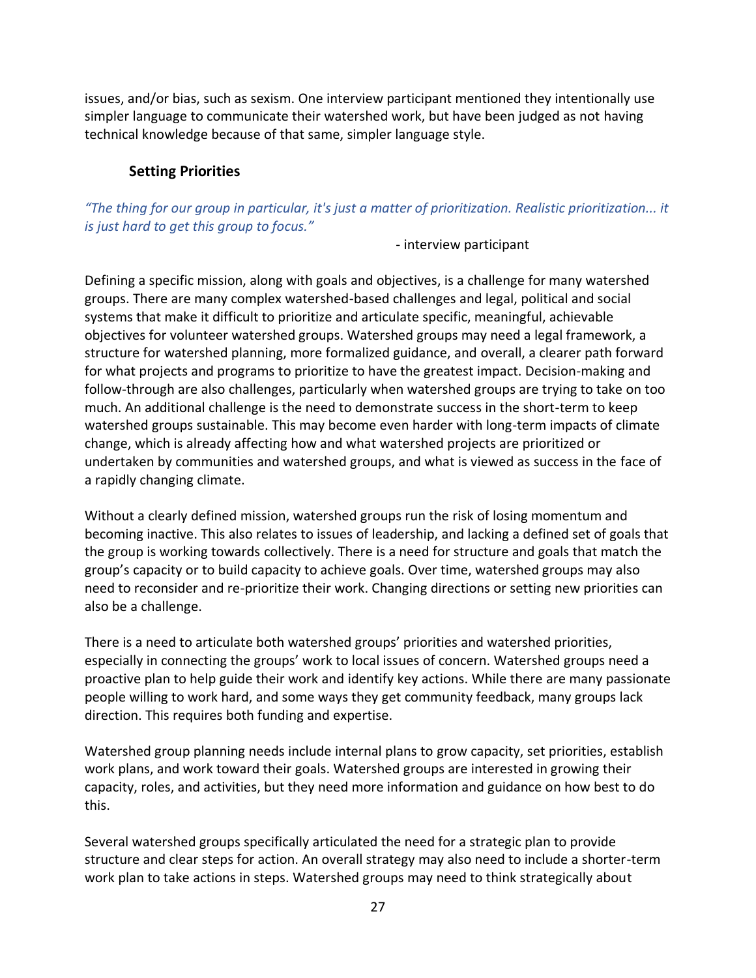issues, and/or bias, such as sexism. One interview participant mentioned they intentionally use simpler language to communicate their watershed work, but have been judged as not having technical knowledge because of that same, simpler language style.

### **Setting Priorities**

<span id="page-26-0"></span>*"The thing for our group in particular, it's just a matter of prioritization. Realistic prioritization... it is just hard to get this group to focus."*

- interview participant

Defining a specific mission, along with goals and objectives, is a challenge for many watershed groups. There are many complex watershed-based challenges and legal, political and social systems that make it difficult to prioritize and articulate specific, meaningful, achievable objectives for volunteer watershed groups. Watershed groups may need a legal framework, a structure for watershed planning, more formalized guidance, and overall, a clearer path forward for what projects and programs to prioritize to have the greatest impact. Decision-making and follow-through are also challenges, particularly when watershed groups are trying to take on too much. An additional challenge is the need to demonstrate success in the short-term to keep watershed groups sustainable. This may become even harder with long-term impacts of climate change, which is already affecting how and what watershed projects are prioritized or undertaken by communities and watershed groups, and what is viewed as success in the face of a rapidly changing climate.

Without a clearly defined mission, watershed groups run the risk of losing momentum and becoming inactive. This also relates to issues of leadership, and lacking a defined set of goals that the group is working towards collectively. There is a need for structure and goals that match the group's capacity or to build capacity to achieve goals. Over time, watershed groups may also need to reconsider and re-prioritize their work. Changing directions or setting new priorities can also be a challenge.

There is a need to articulate both watershed groups' priorities and watershed priorities, especially in connecting the groups' work to local issues of concern. Watershed groups need a proactive plan to help guide their work and identify key actions. While there are many passionate people willing to work hard, and some ways they get community feedback, many groups lack direction. This requires both funding and expertise.

Watershed group planning needs include internal plans to grow capacity, set priorities, establish work plans, and work toward their goals. Watershed groups are interested in growing their capacity, roles, and activities, but they need more information and guidance on how best to do this.

Several watershed groups specifically articulated the need for a strategic plan to provide structure and clear steps for action. An overall strategy may also need to include a shorter-term work plan to take actions in steps. Watershed groups may need to think strategically about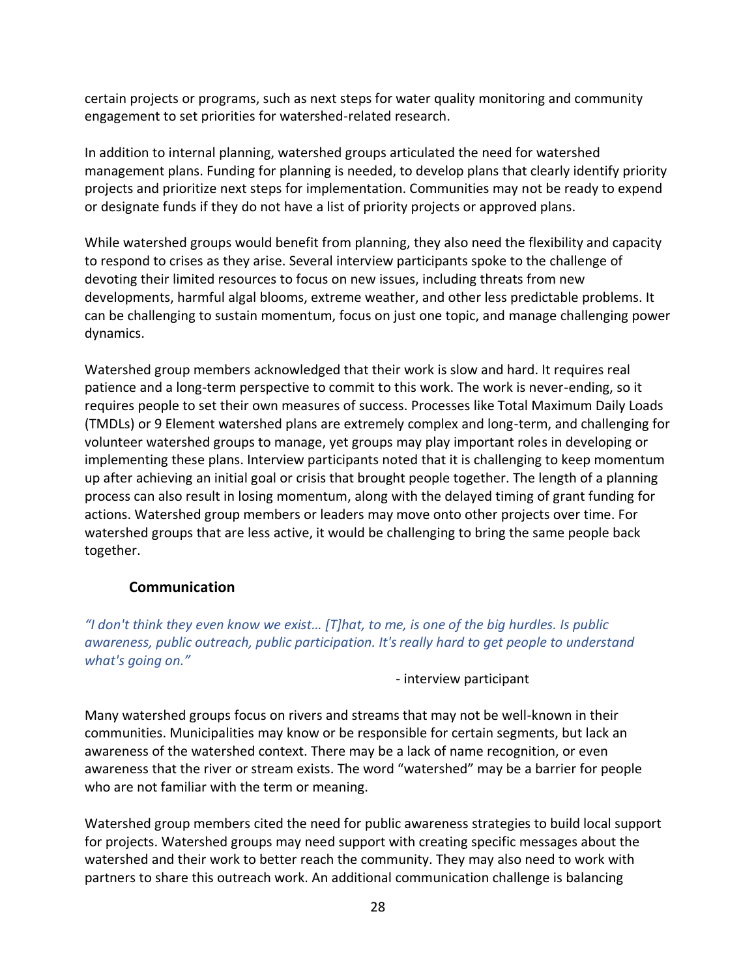certain projects or programs, such as next steps for water quality monitoring and community engagement to set priorities for watershed-related research.

In addition to internal planning, watershed groups articulated the need for watershed management plans. Funding for planning is needed, to develop plans that clearly identify priority projects and prioritize next steps for implementation. Communities may not be ready to expend or designate funds if they do not have a list of priority projects or approved plans.

While watershed groups would benefit from planning, they also need the flexibility and capacity to respond to crises as they arise. Several interview participants spoke to the challenge of devoting their limited resources to focus on new issues, including threats from new developments, harmful algal blooms, extreme weather, and other less predictable problems. It can be challenging to sustain momentum, focus on just one topic, and manage challenging power dynamics.

Watershed group members acknowledged that their work is slow and hard. It requires real patience and a long-term perspective to commit to this work. The work is never-ending, so it requires people to set their own measures of success. Processes like Total Maximum Daily Loads (TMDLs) or 9 Element watershed plans are extremely complex and long-term, and challenging for volunteer watershed groups to manage, yet groups may play important roles in developing or implementing these plans. Interview participants noted that it is challenging to keep momentum up after achieving an initial goal or crisis that brought people together. The length of a planning process can also result in losing momentum, along with the delayed timing of grant funding for actions. Watershed group members or leaders may move onto other projects over time. For watershed groups that are less active, it would be challenging to bring the same people back together.

### **Communication**

<span id="page-27-0"></span>*"I don't think they even know we exist… [T]hat, to me, is one of the big hurdles. Is public awareness, public outreach, public participation. It's really hard to get people to understand what's going on."*

- interview participant

Many watershed groups focus on rivers and streams that may not be well-known in their communities. Municipalities may know or be responsible for certain segments, but lack an awareness of the watershed context. There may be a lack of name recognition, or even awareness that the river or stream exists. The word "watershed" may be a barrier for people who are not familiar with the term or meaning.

Watershed group members cited the need for public awareness strategies to build local support for projects. Watershed groups may need support with creating specific messages about the watershed and their work to better reach the community. They may also need to work with partners to share this outreach work. An additional communication challenge is balancing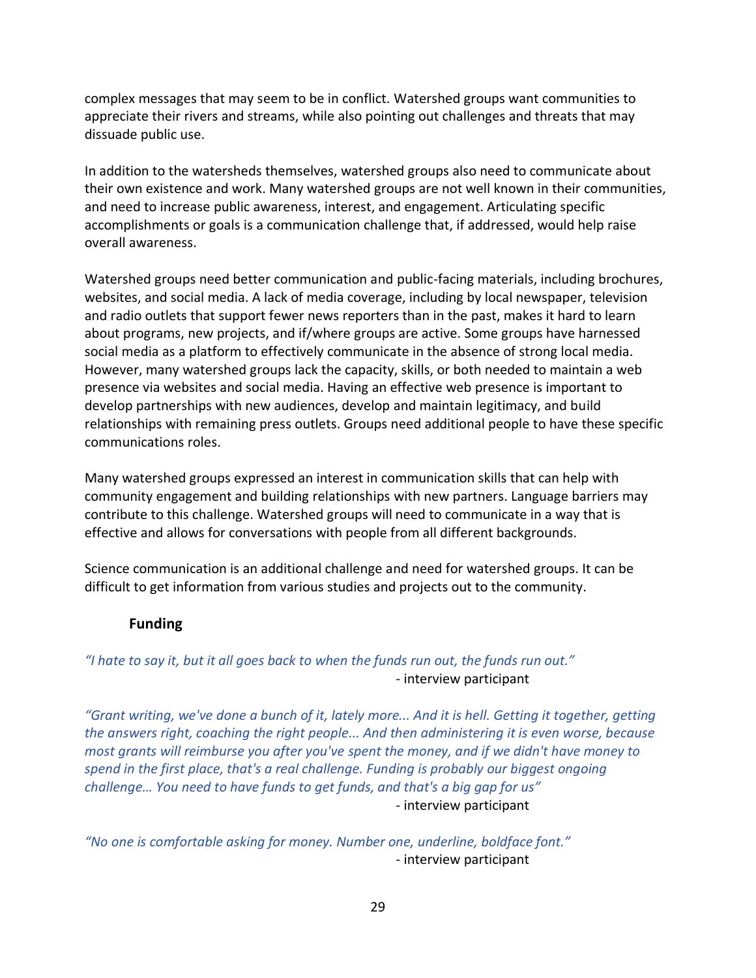complex messages that may seem to be in conflict. Watershed groups want communities to appreciate their rivers and streams, while also pointing out challenges and threats that may dissuade public use.

In addition to the watersheds themselves, watershed groups also need to communicate about their own existence and work. Many watershed groups are not well known in their communities, and need to increase public awareness, interest, and engagement. Articulating specific accomplishments or goals is a communication challenge that, if addressed, would help raise overall awareness.

Watershed groups need better communication and public-facing materials, including brochures, websites, and social media. A lack of media coverage, including by local newspaper, television and radio outlets that support fewer news reporters than in the past, makes it hard to learn about programs, new projects, and if/where groups are active. Some groups have harnessed social media as a platform to effectively communicate in the absence of strong local media. However, many watershed groups lack the capacity, skills, or both needed to maintain a web presence via websites and social media. Having an effective web presence is important to develop partnerships with new audiences, develop and maintain legitimacy, and build relationships with remaining press outlets. Groups need additional people to have these specific communications roles.

Many watershed groups expressed an interest in communication skills that can help with community engagement and building relationships with new partners. Language barriers may contribute to this challenge. Watershed groups will need to communicate in a way that is effective and allows for conversations with people from all different backgrounds.

Science communication is an additional challenge and need for watershed groups. It can be difficult to get information from various studies and projects out to the community.

### **Funding**

### <span id="page-28-0"></span>*"I hate to say it, but it all goes back to when the funds run out, the funds run out."* - interview participant

*"Grant writing, we've done a bunch of it, lately more... And it is hell. Getting it together, getting the answers right, coaching the right people... And then administering it is even worse, because most grants will reimburse you after you've spent the money, and if we didn't have money to spend in the first place, that's a real challenge. Funding is probably our biggest ongoing challenge… You need to have funds to get funds, and that's a big gap for us"* - interview participant

*"No one is comfortable asking for money. Number one, underline, boldface font."* - interview participant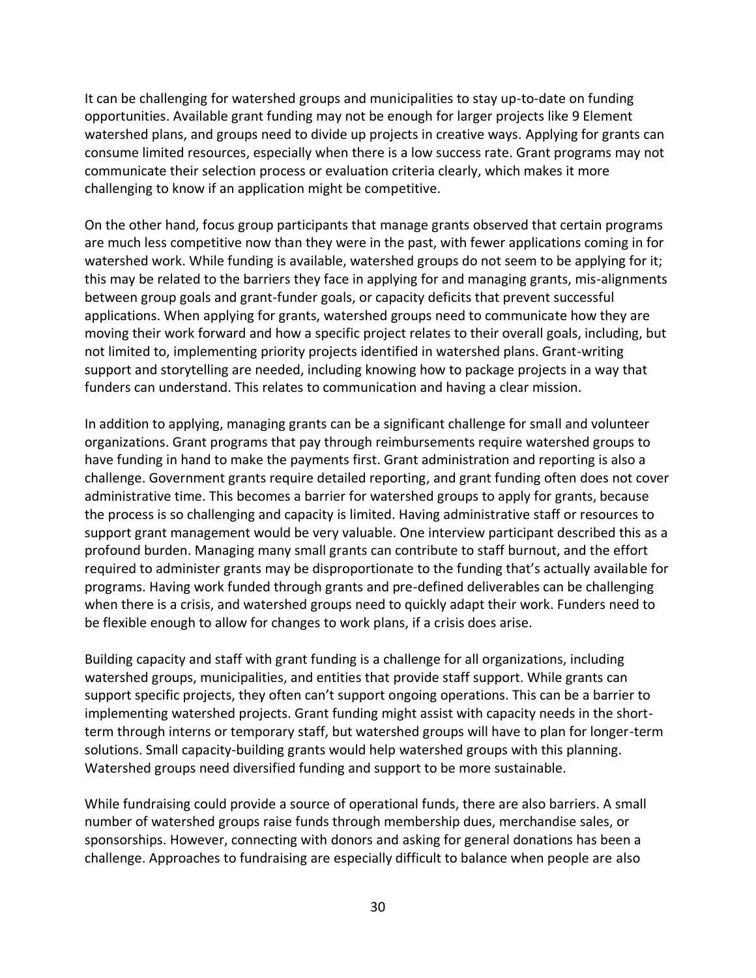It can be challenging for watershed groups and municipalities to stay up-to-date on funding opportunities. Available grant funding may not be enough for larger projects like 9 Element watershed plans, and groups need to divide up projects in creative ways. Applying for grants can consume limited resources, especially when there is a low success rate. Grant programs may not communicate their selection process or evaluation criteria clearly, which makes it more challenging to know if an application might be competitive.

On the other hand, focus group participants that manage grants observed that certain programs are much less competitive now than they were in the past, with fewer applications coming in for watershed work. While funding is available, watershed groups do not seem to be applying for it; this may be related to the barriers they face in applying for and managing grants, mis-alignments between group goals and grant-funder goals, or capacity deficits that prevent successful applications. When applying for grants, watershed groups need to communicate how they are moving their work forward and how a specific project relates to their overall goals, including, but not limited to, implementing priority projects identified in watershed plans. Grant-writing support and storytelling are needed, including knowing how to package projects in a way that funders can understand. This relates to communication and having a clear mission.

In addition to applying, managing grants can be a significant challenge for small and volunteer organizations. Grant programs that pay through reimbursements require watershed groups to have funding in hand to make the payments first. Grant administration and reporting is also a challenge. Government grants require detailed reporting, and grant funding often does not cover administrative time. This becomes a barrier for watershed groups to apply for grants, because the process is so challenging and capacity is limited. Having administrative staff or resources to support grant management would be very valuable. One interview participant described this as a profound burden. Managing many small grants can contribute to staff burnout, and the effort required to administer grants may be disproportionate to the funding that's actually available for programs. Having work funded through grants and pre-defined deliverables can be challenging when there is a crisis, and watershed groups need to quickly adapt their work. Funders need to be flexible enough to allow for changes to work plans, if a crisis does arise.

Building capacity and staff with grant funding is a challenge for all organizations, including watershed groups, municipalities, and entities that provide staff support. While grants can support specific projects, they often can't support ongoing operations. This can be a barrier to implementing watershed projects. Grant funding might assist with capacity needs in the shortterm through interns or temporary staff, but watershed groups will have to plan for longer-term solutions. Small capacity-building grants would help watershed groups with this planning. Watershed groups need diversified funding and support to be more sustainable.

While fundraising could provide a source of operational funds, there are also barriers. A small number of watershed groups raise funds through membership dues, merchandise sales, or sponsorships. However, connecting with donors and asking for general donations has been a challenge. Approaches to fundraising are especially difficult to balance when people are also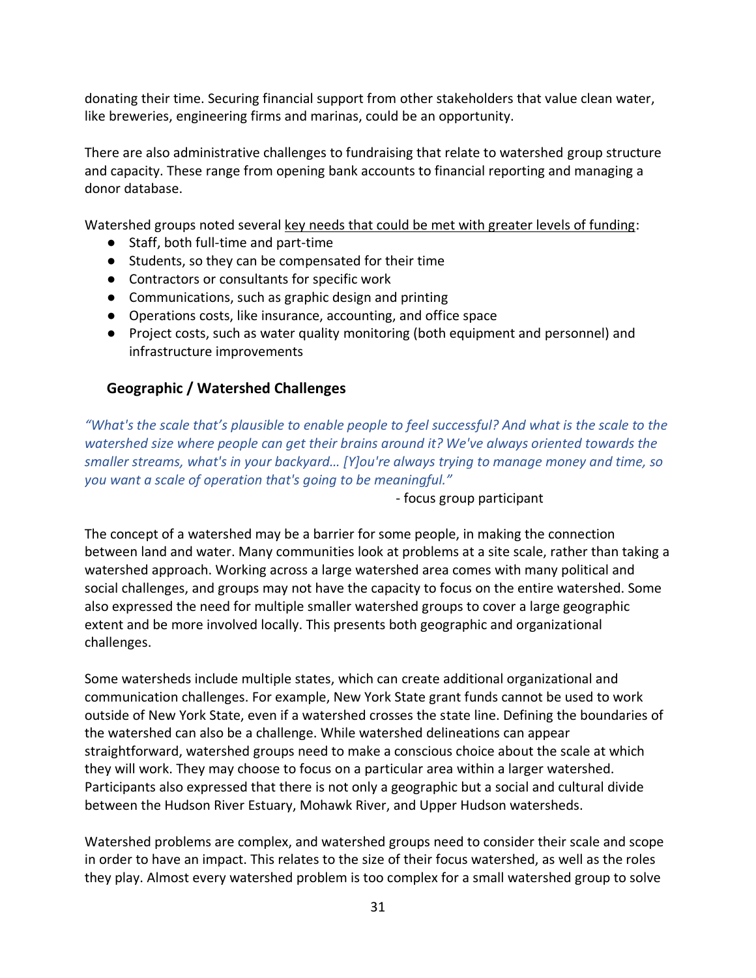donating their time. Securing financial support from other stakeholders that value clean water, like breweries, engineering firms and marinas, could be an opportunity.

There are also administrative challenges to fundraising that relate to watershed group structure and capacity. These range from opening bank accounts to financial reporting and managing a donor database.

Watershed groups noted several key needs that could be met with greater levels of funding:

- Staff, both full-time and part-time
- Students, so they can be compensated for their time
- Contractors or consultants for specific work
- Communications, such as graphic design and printing
- Operations costs, like insurance, accounting, and office space
- Project costs, such as water quality monitoring (both equipment and personnel) and infrastructure improvements

# <span id="page-30-0"></span>**Geographic / Watershed Challenges**

*"What's the scale that's plausible to enable people to feel successful? And what is the scale to the watershed size where people can get their brains around it? We've always oriented towards the smaller streams, what's in your backyard… [Y]ou're always trying to manage money and time, so you want a scale of operation that's going to be meaningful."*

- focus group participant

The concept of a watershed may be a barrier for some people, in making the connection between land and water. Many communities look at problems at a site scale, rather than taking a watershed approach. Working across a large watershed area comes with many political and social challenges, and groups may not have the capacity to focus on the entire watershed. Some also expressed the need for multiple smaller watershed groups to cover a large geographic extent and be more involved locally. This presents both geographic and organizational challenges.

Some watersheds include multiple states, which can create additional organizational and communication challenges. For example, New York State grant funds cannot be used to work outside of New York State, even if a watershed crosses the state line. Defining the boundaries of the watershed can also be a challenge. While watershed delineations can appear straightforward, watershed groups need to make a conscious choice about the scale at which they will work. They may choose to focus on a particular area within a larger watershed. Participants also expressed that there is not only a geographic but a social and cultural divide between the Hudson River Estuary, Mohawk River, and Upper Hudson watersheds.

Watershed problems are complex, and watershed groups need to consider their scale and scope in order to have an impact. This relates to the size of their focus watershed, as well as the roles they play. Almost every watershed problem is too complex for a small watershed group to solve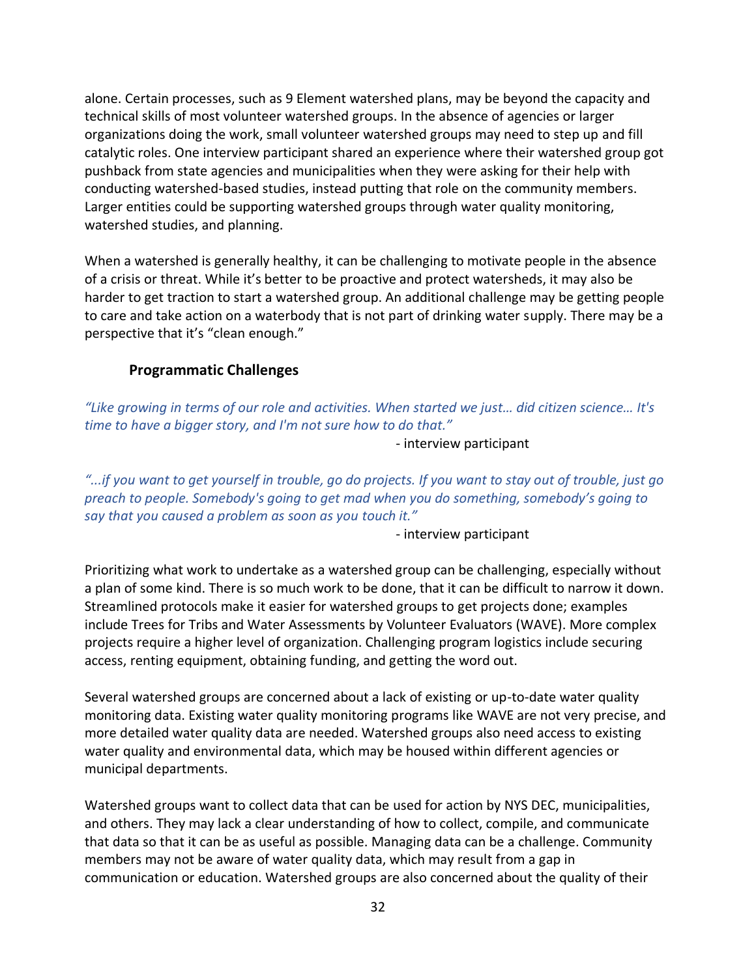alone. Certain processes, such as 9 Element watershed plans, may be beyond the capacity and technical skills of most volunteer watershed groups. In the absence of agencies or larger organizations doing the work, small volunteer watershed groups may need to step up and fill catalytic roles. One interview participant shared an experience where their watershed group got pushback from state agencies and municipalities when they were asking for their help with conducting watershed-based studies, instead putting that role on the community members. Larger entities could be supporting watershed groups through water quality monitoring, watershed studies, and planning.

When a watershed is generally healthy, it can be challenging to motivate people in the absence of a crisis or threat. While it's better to be proactive and protect watersheds, it may also be harder to get traction to start a watershed group. An additional challenge may be getting people to care and take action on a waterbody that is not part of drinking water supply. There may be a perspective that it's "clean enough."

### **Programmatic Challenges**

<span id="page-31-0"></span>*"Like growing in terms of our role and activities. When started we just… did citizen science… It's time to have a bigger story, and I'm not sure how to do that."*

- interview participant

*"...if you want to get yourself in trouble, go do projects. If you want to stay out of trouble, just go preach to people. Somebody's going to get mad when you do something, somebody's going to say that you caused a problem as soon as you touch it."*

- interview participant

Prioritizing what work to undertake as a watershed group can be challenging, especially without a plan of some kind. There is so much work to be done, that it can be difficult to narrow it down. Streamlined protocols make it easier for watershed groups to get projects done; examples include Trees for Tribs and Water Assessments by Volunteer Evaluators (WAVE). More complex projects require a higher level of organization. Challenging program logistics include securing access, renting equipment, obtaining funding, and getting the word out.

Several watershed groups are concerned about a lack of existing or up-to-date water quality monitoring data. Existing water quality monitoring programs like WAVE are not very precise, and more detailed water quality data are needed. Watershed groups also need access to existing water quality and environmental data, which may be housed within different agencies or municipal departments.

Watershed groups want to collect data that can be used for action by NYS DEC, municipalities, and others. They may lack a clear understanding of how to collect, compile, and communicate that data so that it can be as useful as possible. Managing data can be a challenge. Community members may not be aware of water quality data, which may result from a gap in communication or education. Watershed groups are also concerned about the quality of their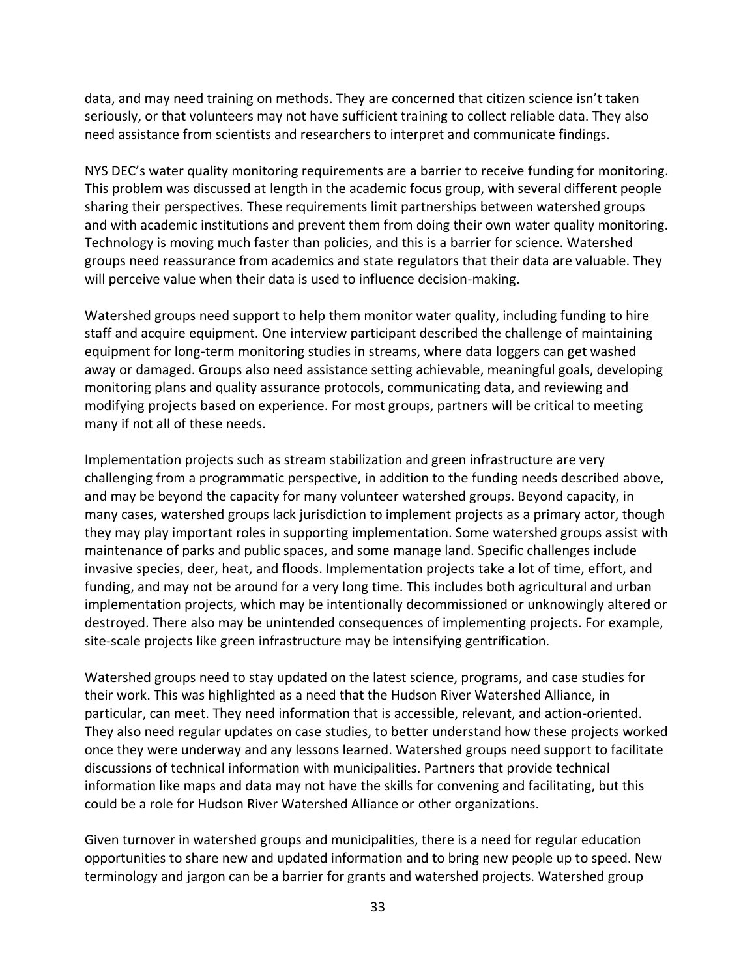data, and may need training on methods. They are concerned that citizen science isn't taken seriously, or that volunteers may not have sufficient training to collect reliable data. They also need assistance from scientists and researchers to interpret and communicate findings.

NYS DEC's water quality monitoring requirements are a barrier to receive funding for monitoring. This problem was discussed at length in the academic focus group, with several different people sharing their perspectives. These requirements limit partnerships between watershed groups and with academic institutions and prevent them from doing their own water quality monitoring. Technology is moving much faster than policies, and this is a barrier for science. Watershed groups need reassurance from academics and state regulators that their data are valuable. They will perceive value when their data is used to influence decision-making.

Watershed groups need support to help them monitor water quality, including funding to hire staff and acquire equipment. One interview participant described the challenge of maintaining equipment for long-term monitoring studies in streams, where data loggers can get washed away or damaged. Groups also need assistance setting achievable, meaningful goals, developing monitoring plans and quality assurance protocols, communicating data, and reviewing and modifying projects based on experience. For most groups, partners will be critical to meeting many if not all of these needs.

Implementation projects such as stream stabilization and green infrastructure are very challenging from a programmatic perspective, in addition to the funding needs described above, and may be beyond the capacity for many volunteer watershed groups. Beyond capacity, in many cases, watershed groups lack jurisdiction to implement projects as a primary actor, though they may play important roles in supporting implementation. Some watershed groups assist with maintenance of parks and public spaces, and some manage land. Specific challenges include invasive species, deer, heat, and floods. Implementation projects take a lot of time, effort, and funding, and may not be around for a very long time. This includes both agricultural and urban implementation projects, which may be intentionally decommissioned or unknowingly altered or destroyed. There also may be unintended consequences of implementing projects. For example, site-scale projects like green infrastructure may be intensifying gentrification.

Watershed groups need to stay updated on the latest science, programs, and case studies for their work. This was highlighted as a need that the Hudson River Watershed Alliance, in particular, can meet. They need information that is accessible, relevant, and action-oriented. They also need regular updates on case studies, to better understand how these projects worked once they were underway and any lessons learned. Watershed groups need support to facilitate discussions of technical information with municipalities. Partners that provide technical information like maps and data may not have the skills for convening and facilitating, but this could be a role for Hudson River Watershed Alliance or other organizations.

Given turnover in watershed groups and municipalities, there is a need for regular education opportunities to share new and updated information and to bring new people up to speed. New terminology and jargon can be a barrier for grants and watershed projects. Watershed group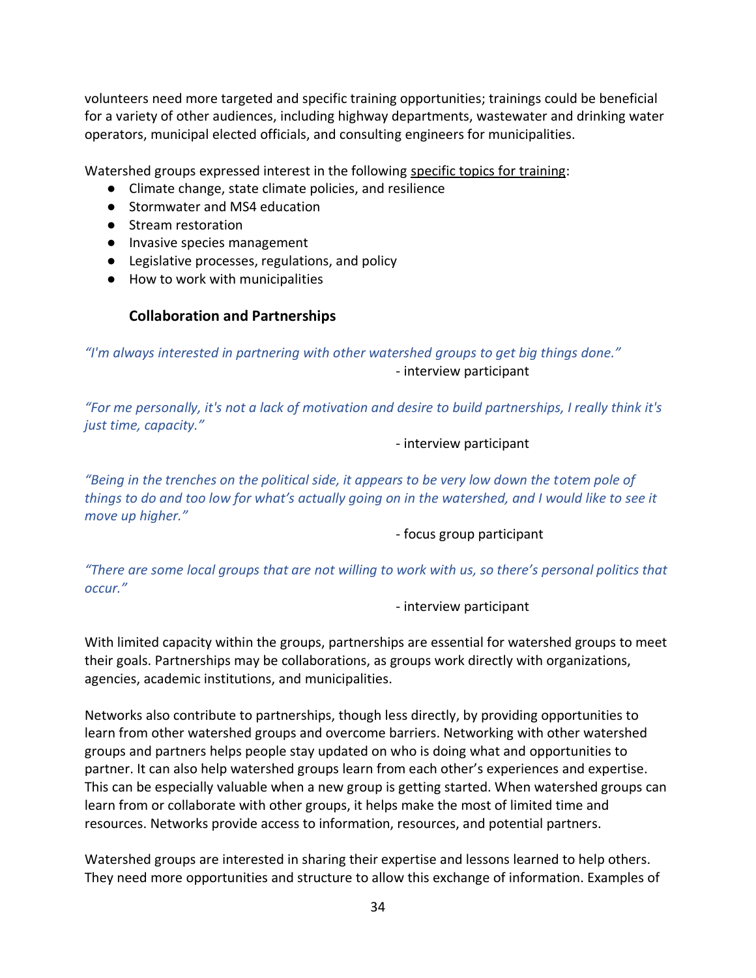volunteers need more targeted and specific training opportunities; trainings could be beneficial for a variety of other audiences, including highway departments, wastewater and drinking water operators, municipal elected officials, and consulting engineers for municipalities.

Watershed groups expressed interest in the following specific topics for training:

- Climate change, state climate policies, and resilience
- Stormwater and MS4 education
- Stream restoration
- Invasive species management
- Legislative processes, regulations, and policy
- How to work with municipalities

### **Collaboration and Partnerships**

<span id="page-33-0"></span>*"I'm always interested in partnering with other watershed groups to get big things done."* - interview participant

*"For me personally, it's not a lack of motivation and desire to build partnerships, I really think it's just time, capacity."*

#### - interview participant

*"Being in the trenches on the political side, it appears to be very low down the totem pole of things to do and too low for what's actually going on in the watershed, and I would like to see it move up higher."*

- focus group participant

*"There are some local groups that are not willing to work with us, so there's personal politics that occur."*

#### - interview participant

With limited capacity within the groups, partnerships are essential for watershed groups to meet their goals. Partnerships may be collaborations, as groups work directly with organizations, agencies, academic institutions, and municipalities.

Networks also contribute to partnerships, though less directly, by providing opportunities to learn from other watershed groups and overcome barriers. Networking with other watershed groups and partners helps people stay updated on who is doing what and opportunities to partner. It can also help watershed groups learn from each other's experiences and expertise. This can be especially valuable when a new group is getting started. When watershed groups can learn from or collaborate with other groups, it helps make the most of limited time and resources. Networks provide access to information, resources, and potential partners.

Watershed groups are interested in sharing their expertise and lessons learned to help others. They need more opportunities and structure to allow this exchange of information. Examples of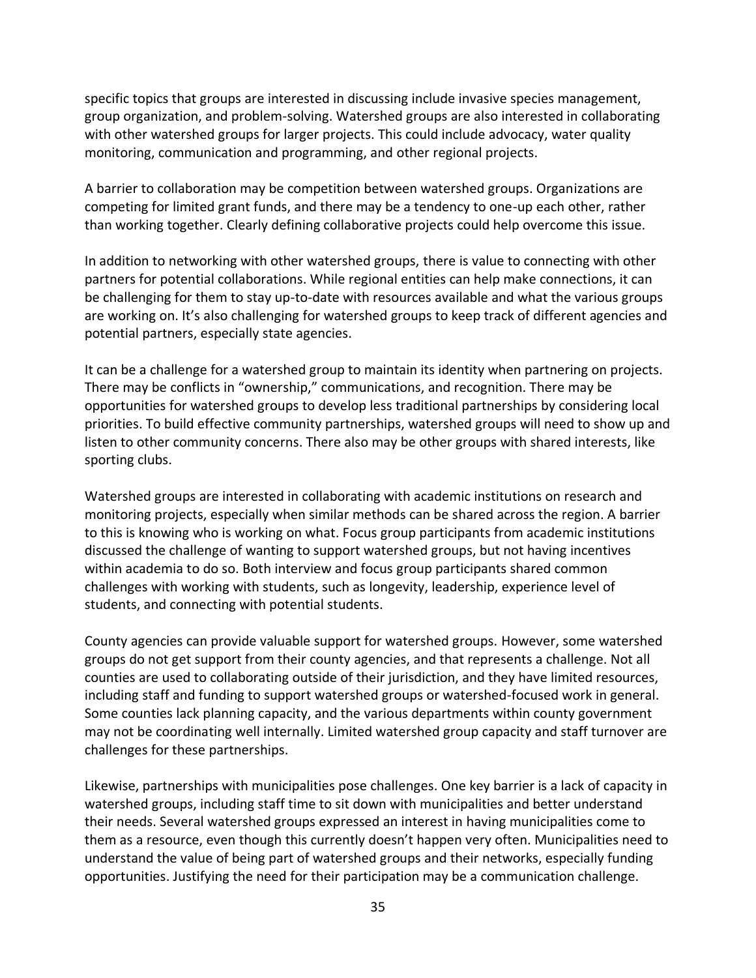specific topics that groups are interested in discussing include invasive species management, group organization, and problem-solving. Watershed groups are also interested in collaborating with other watershed groups for larger projects. This could include advocacy, water quality monitoring, communication and programming, and other regional projects.

A barrier to collaboration may be competition between watershed groups. Organizations are competing for limited grant funds, and there may be a tendency to one-up each other, rather than working together. Clearly defining collaborative projects could help overcome this issue.

In addition to networking with other watershed groups, there is value to connecting with other partners for potential collaborations. While regional entities can help make connections, it can be challenging for them to stay up-to-date with resources available and what the various groups are working on. It's also challenging for watershed groups to keep track of different agencies and potential partners, especially state agencies.

It can be a challenge for a watershed group to maintain its identity when partnering on projects. There may be conflicts in "ownership," communications, and recognition. There may be opportunities for watershed groups to develop less traditional partnerships by considering local priorities. To build effective community partnerships, watershed groups will need to show up and listen to other community concerns. There also may be other groups with shared interests, like sporting clubs.

Watershed groups are interested in collaborating with academic institutions on research and monitoring projects, especially when similar methods can be shared across the region. A barrier to this is knowing who is working on what. Focus group participants from academic institutions discussed the challenge of wanting to support watershed groups, but not having incentives within academia to do so. Both interview and focus group participants shared common challenges with working with students, such as longevity, leadership, experience level of students, and connecting with potential students.

County agencies can provide valuable support for watershed groups. However, some watershed groups do not get support from their county agencies, and that represents a challenge. Not all counties are used to collaborating outside of their jurisdiction, and they have limited resources, including staff and funding to support watershed groups or watershed-focused work in general. Some counties lack planning capacity, and the various departments within county government may not be coordinating well internally. Limited watershed group capacity and staff turnover are challenges for these partnerships.

Likewise, partnerships with municipalities pose challenges. One key barrier is a lack of capacity in watershed groups, including staff time to sit down with municipalities and better understand their needs. Several watershed groups expressed an interest in having municipalities come to them as a resource, even though this currently doesn't happen very often. Municipalities need to understand the value of being part of watershed groups and their networks, especially funding opportunities. Justifying the need for their participation may be a communication challenge.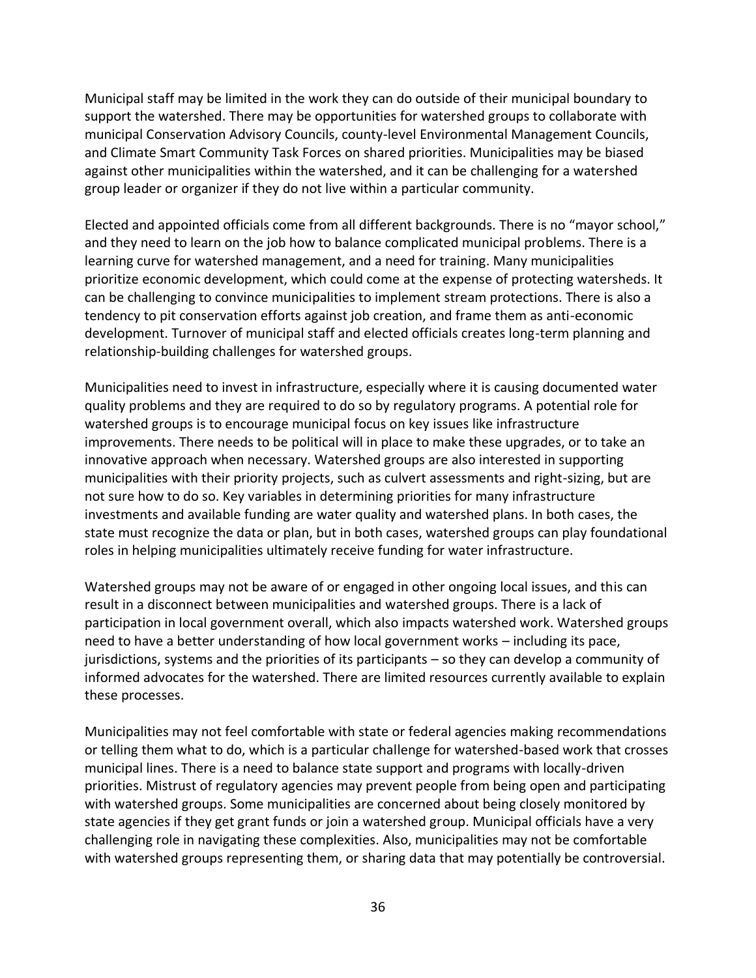Municipal staff may be limited in the work they can do outside of their municipal boundary to support the watershed. There may be opportunities for watershed groups to collaborate with municipal Conservation Advisory Councils, county-level Environmental Management Councils, and Climate Smart Community Task Forces on shared priorities. Municipalities may be biased against other municipalities within the watershed, and it can be challenging for a watershed group leader or organizer if they do not live within a particular community.

Elected and appointed officials come from all different backgrounds. There is no "mayor school," and they need to learn on the job how to balance complicated municipal problems. There is a learning curve for watershed management, and a need for training. Many municipalities prioritize economic development, which could come at the expense of protecting watersheds. It can be challenging to convince municipalities to implement stream protections. There is also a tendency to pit conservation efforts against job creation, and frame them as anti-economic development. Turnover of municipal staff and elected officials creates long-term planning and relationship-building challenges for watershed groups.

Municipalities need to invest in infrastructure, especially where it is causing documented water quality problems and they are required to do so by regulatory programs. A potential role for watershed groups is to encourage municipal focus on key issues like infrastructure improvements. There needs to be political will in place to make these upgrades, or to take an innovative approach when necessary. Watershed groups are also interested in supporting municipalities with their priority projects, such as culvert assessments and right-sizing, but are not sure how to do so. Key variables in determining priorities for many infrastructure investments and available funding are water quality and watershed plans. In both cases, the state must recognize the data or plan, but in both cases, watershed groups can play foundational roles in helping municipalities ultimately receive funding for water infrastructure.

Watershed groups may not be aware of or engaged in other ongoing local issues, and this can result in a disconnect between municipalities and watershed groups. There is a lack of participation in local government overall, which also impacts watershed work. Watershed groups need to have a better understanding of how local government works – including its pace, jurisdictions, systems and the priorities of its participants – so they can develop a community of informed advocates for the watershed. There are limited resources currently available to explain these processes.

Municipalities may not feel comfortable with state or federal agencies making recommendations or telling them what to do, which is a particular challenge for watershed-based work that crosses municipal lines. There is a need to balance state support and programs with locally-driven priorities. Mistrust of regulatory agencies may prevent people from being open and participating with watershed groups. Some municipalities are concerned about being closely monitored by state agencies if they get grant funds or join a watershed group. Municipal officials have a very challenging role in navigating these complexities. Also, municipalities may not be comfortable with watershed groups representing them, or sharing data that may potentially be controversial.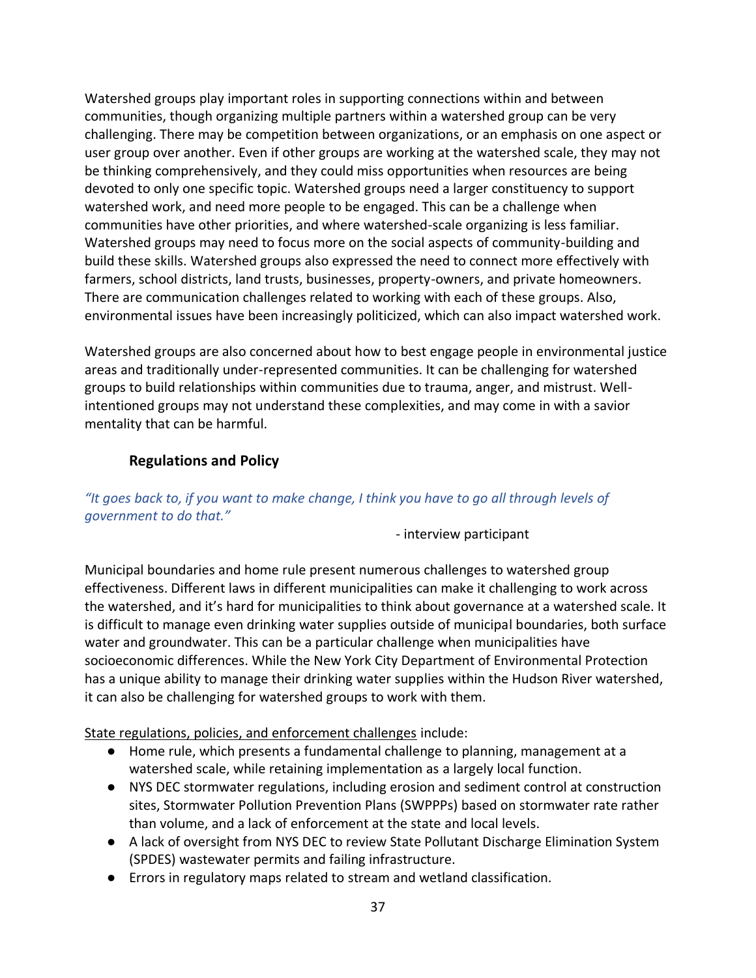Watershed groups play important roles in supporting connections within and between communities, though organizing multiple partners within a watershed group can be very challenging. There may be competition between organizations, or an emphasis on one aspect or user group over another. Even if other groups are working at the watershed scale, they may not be thinking comprehensively, and they could miss opportunities when resources are being devoted to only one specific topic. Watershed groups need a larger constituency to support watershed work, and need more people to be engaged. This can be a challenge when communities have other priorities, and where watershed-scale organizing is less familiar. Watershed groups may need to focus more on the social aspects of community-building and build these skills. Watershed groups also expressed the need to connect more effectively with farmers, school districts, land trusts, businesses, property-owners, and private homeowners. There are communication challenges related to working with each of these groups. Also, environmental issues have been increasingly politicized, which can also impact watershed work.

Watershed groups are also concerned about how to best engage people in environmental justice areas and traditionally under-represented communities. It can be challenging for watershed groups to build relationships within communities due to trauma, anger, and mistrust. Wellintentioned groups may not understand these complexities, and may come in with a savior mentality that can be harmful.

### **Regulations and Policy**

### <span id="page-36-0"></span>*"It goes back to, if you want to make change, I think you have to go all through levels of government to do that."*

- interview participant

Municipal boundaries and home rule present numerous challenges to watershed group effectiveness. Different laws in different municipalities can make it challenging to work across the watershed, and it's hard for municipalities to think about governance at a watershed scale. It is difficult to manage even drinking water supplies outside of municipal boundaries, both surface water and groundwater. This can be a particular challenge when municipalities have socioeconomic differences. While the New York City Department of Environmental Protection has a unique ability to manage their drinking water supplies within the Hudson River watershed, it can also be challenging for watershed groups to work with them.

State regulations, policies, and enforcement challenges include:

- Home rule, which presents a fundamental challenge to planning, management at a watershed scale, while retaining implementation as a largely local function.
- NYS DEC stormwater regulations, including erosion and sediment control at construction sites, Stormwater Pollution Prevention Plans (SWPPPs) based on stormwater rate rather than volume, and a lack of enforcement at the state and local levels.
- A lack of oversight from NYS DEC to review State Pollutant Discharge Elimination System (SPDES) wastewater permits and failing infrastructure.
- Errors in regulatory maps related to stream and wetland classification.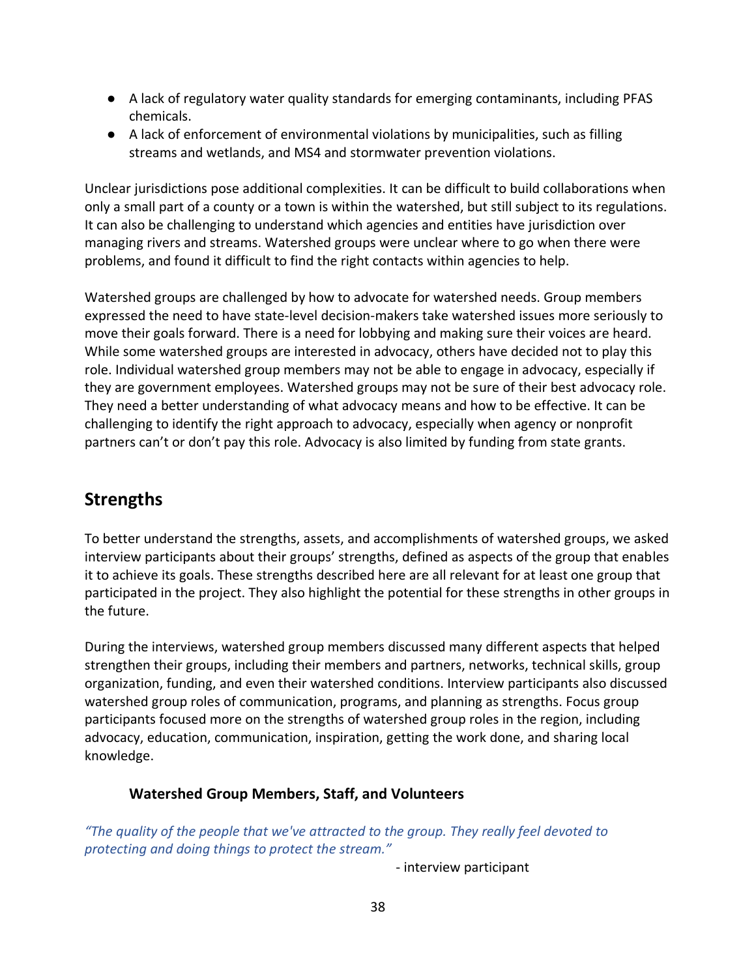- A lack of regulatory water quality standards for emerging contaminants, including PFAS chemicals.
- A lack of enforcement of environmental violations by municipalities, such as filling streams and wetlands, and MS4 and stormwater prevention violations.

Unclear jurisdictions pose additional complexities. It can be difficult to build collaborations when only a small part of a county or a town is within the watershed, but still subject to its regulations. It can also be challenging to understand which agencies and entities have jurisdiction over managing rivers and streams. Watershed groups were unclear where to go when there were problems, and found it difficult to find the right contacts within agencies to help.

Watershed groups are challenged by how to advocate for watershed needs. Group members expressed the need to have state-level decision-makers take watershed issues more seriously to move their goals forward. There is a need for lobbying and making sure their voices are heard. While some watershed groups are interested in advocacy, others have decided not to play this role. Individual watershed group members may not be able to engage in advocacy, especially if they are government employees. Watershed groups may not be sure of their best advocacy role. They need a better understanding of what advocacy means and how to be effective. It can be challenging to identify the right approach to advocacy, especially when agency or nonprofit partners can't or don't pay this role. Advocacy is also limited by funding from state grants.

# <span id="page-37-0"></span>**Strengths**

To better understand the strengths, assets, and accomplishments of watershed groups, we asked interview participants about their groups' strengths, defined as aspects of the group that enables it to achieve its goals. These strengths described here are all relevant for at least one group that participated in the project. They also highlight the potential for these strengths in other groups in the future.

During the interviews, watershed group members discussed many different aspects that helped strengthen their groups, including their members and partners, networks, technical skills, group organization, funding, and even their watershed conditions. Interview participants also discussed watershed group roles of communication, programs, and planning as strengths. Focus group participants focused more on the strengths of watershed group roles in the region, including advocacy, education, communication, inspiration, getting the work done, and sharing local knowledge.

### <span id="page-37-1"></span>**Watershed Group Members, Staff, and Volunteers**

*"The quality of the people that we've attracted to the group. They really feel devoted to protecting and doing things to protect the stream."*

- interview participant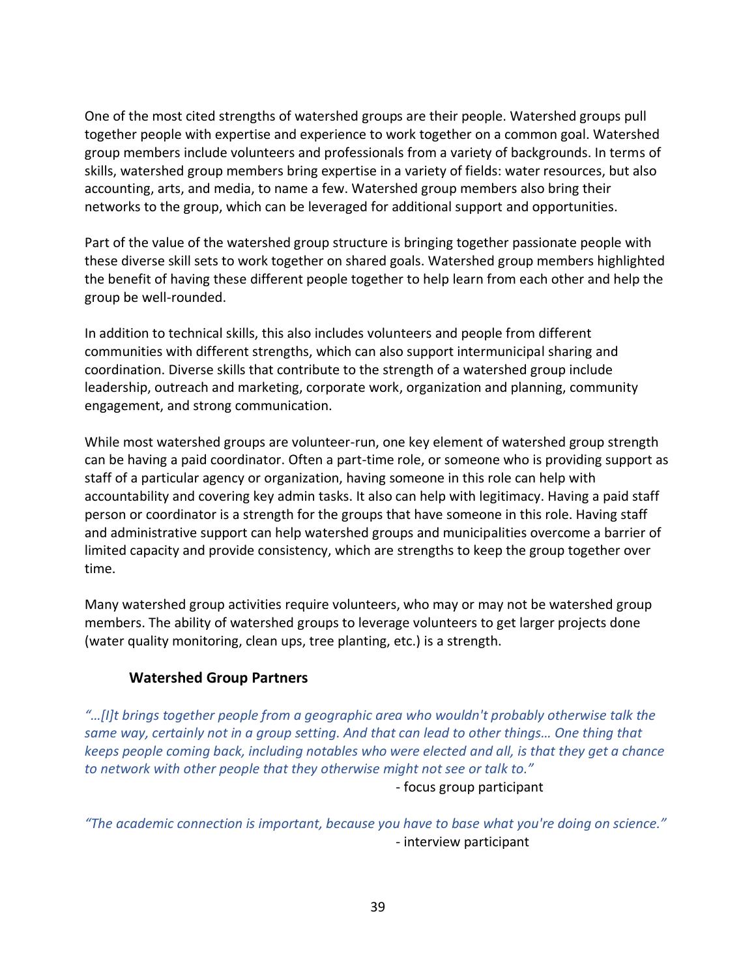One of the most cited strengths of watershed groups are their people. Watershed groups pull together people with expertise and experience to work together on a common goal. Watershed group members include volunteers and professionals from a variety of backgrounds. In terms of skills, watershed group members bring expertise in a variety of fields: water resources, but also accounting, arts, and media, to name a few. Watershed group members also bring their networks to the group, which can be leveraged for additional support and opportunities.

Part of the value of the watershed group structure is bringing together passionate people with these diverse skill sets to work together on shared goals. Watershed group members highlighted the benefit of having these different people together to help learn from each other and help the group be well-rounded.

In addition to technical skills, this also includes volunteers and people from different communities with different strengths, which can also support intermunicipal sharing and coordination. Diverse skills that contribute to the strength of a watershed group include leadership, outreach and marketing, corporate work, organization and planning, community engagement, and strong communication.

While most watershed groups are volunteer-run, one key element of watershed group strength can be having a paid coordinator. Often a part-time role, or someone who is providing support as staff of a particular agency or organization, having someone in this role can help with accountability and covering key admin tasks. It also can help with legitimacy. Having a paid staff person or coordinator is a strength for the groups that have someone in this role. Having staff and administrative support can help watershed groups and municipalities overcome a barrier of limited capacity and provide consistency, which are strengths to keep the group together over time.

Many watershed group activities require volunteers, who may or may not be watershed group members. The ability of watershed groups to leverage volunteers to get larger projects done (water quality monitoring, clean ups, tree planting, etc.) is a strength.

### **Watershed Group Partners**

<span id="page-38-0"></span>*"…[I]t brings together people from a geographic area who wouldn't probably otherwise talk the same way, certainly not in a group setting. And that can lead to other things… One thing that keeps people coming back, including notables who were elected and all, is that they get a chance to network with other people that they otherwise might not see or talk to."* - focus group participant

*"The academic connection is important, because you have to base what you're doing on science."* - interview participant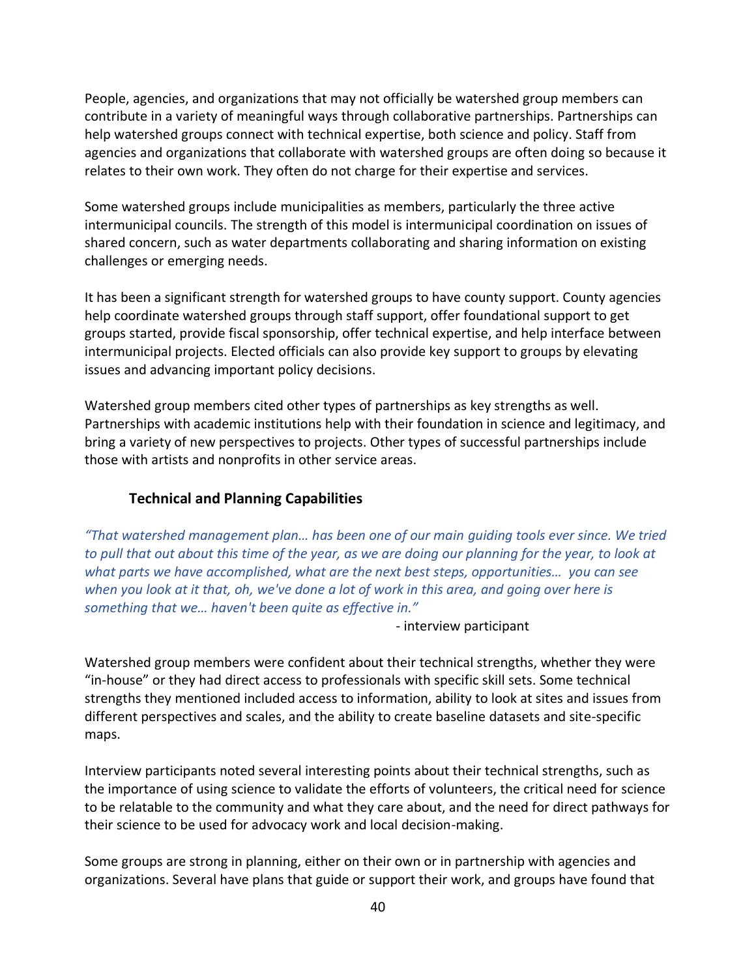People, agencies, and organizations that may not officially be watershed group members can contribute in a variety of meaningful ways through collaborative partnerships. Partnerships can help watershed groups connect with technical expertise, both science and policy. Staff from agencies and organizations that collaborate with watershed groups are often doing so because it relates to their own work. They often do not charge for their expertise and services.

Some watershed groups include municipalities as members, particularly the three active intermunicipal councils. The strength of this model is intermunicipal coordination on issues of shared concern, such as water departments collaborating and sharing information on existing challenges or emerging needs.

It has been a significant strength for watershed groups to have county support. County agencies help coordinate watershed groups through staff support, offer foundational support to get groups started, provide fiscal sponsorship, offer technical expertise, and help interface between intermunicipal projects. Elected officials can also provide key support to groups by elevating issues and advancing important policy decisions.

Watershed group members cited other types of partnerships as key strengths as well. Partnerships with academic institutions help with their foundation in science and legitimacy, and bring a variety of new perspectives to projects. Other types of successful partnerships include those with artists and nonprofits in other service areas.

### **Technical and Planning Capabilities**

<span id="page-39-0"></span>*"That watershed management plan… has been one of our main guiding tools ever since. We tried to pull that out about this time of the year, as we are doing our planning for the year, to look at what parts we have accomplished, what are the next best steps, opportunities… you can see when you look at it that, oh, we've done a lot of work in this area, and going over here is something that we… haven't been quite as effective in."*

- interview participant

Watershed group members were confident about their technical strengths, whether they were "in-house" or they had direct access to professionals with specific skill sets. Some technical strengths they mentioned included access to information, ability to look at sites and issues from different perspectives and scales, and the ability to create baseline datasets and site-specific maps.

Interview participants noted several interesting points about their technical strengths, such as the importance of using science to validate the efforts of volunteers, the critical need for science to be relatable to the community and what they care about, and the need for direct pathways for their science to be used for advocacy work and local decision-making.

Some groups are strong in planning, either on their own or in partnership with agencies and organizations. Several have plans that guide or support their work, and groups have found that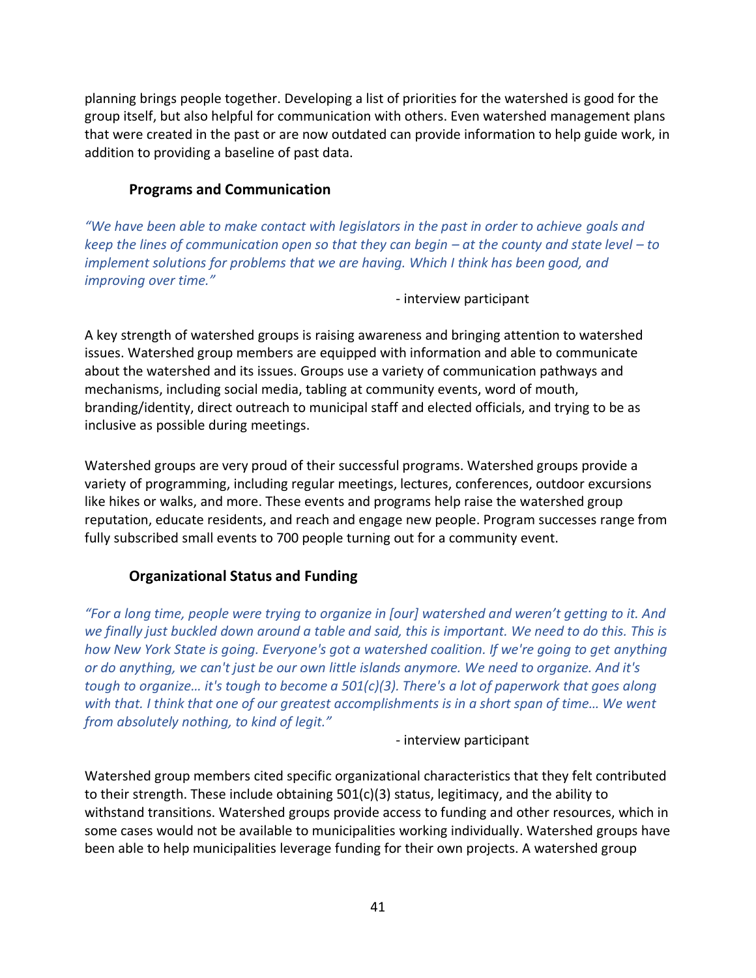planning brings people together. Developing a list of priorities for the watershed is good for the group itself, but also helpful for communication with others. Even watershed management plans that were created in the past or are now outdated can provide information to help guide work, in addition to providing a baseline of past data.

### **Programs and Communication**

<span id="page-40-0"></span>*"We have been able to make contact with legislators in the past in order to achieve goals and keep the lines of communication open so that they can begin – at the county and state level – to implement solutions for problems that we are having. Which I think has been good, and improving over time."*

- interview participant

A key strength of watershed groups is raising awareness and bringing attention to watershed issues. Watershed group members are equipped with information and able to communicate about the watershed and its issues. Groups use a variety of communication pathways and mechanisms, including social media, tabling at community events, word of mouth, branding/identity, direct outreach to municipal staff and elected officials, and trying to be as inclusive as possible during meetings.

Watershed groups are very proud of their successful programs. Watershed groups provide a variety of programming, including regular meetings, lectures, conferences, outdoor excursions like hikes or walks, and more. These events and programs help raise the watershed group reputation, educate residents, and reach and engage new people. Program successes range from fully subscribed small events to 700 people turning out for a community event.

### **Organizational Status and Funding**

<span id="page-40-1"></span>*"For a long time, people were trying to organize in [our] watershed and weren't getting to it. And we finally just buckled down around a table and said, this is important. We need to do this. This is how New York State is going. Everyone's got a watershed coalition. If we're going to get anything or do anything, we can't just be our own little islands anymore. We need to organize. And it's tough to organize… it's tough to become a 501(c)(3). There's a lot of paperwork that goes along with that. I think that one of our greatest accomplishments is in a short span of time… We went from absolutely nothing, to kind of legit."*

- interview participant

Watershed group members cited specific organizational characteristics that they felt contributed to their strength. These include obtaining 501(c)(3) status, legitimacy, and the ability to withstand transitions. Watershed groups provide access to funding and other resources, which in some cases would not be available to municipalities working individually. Watershed groups have been able to help municipalities leverage funding for their own projects. A watershed group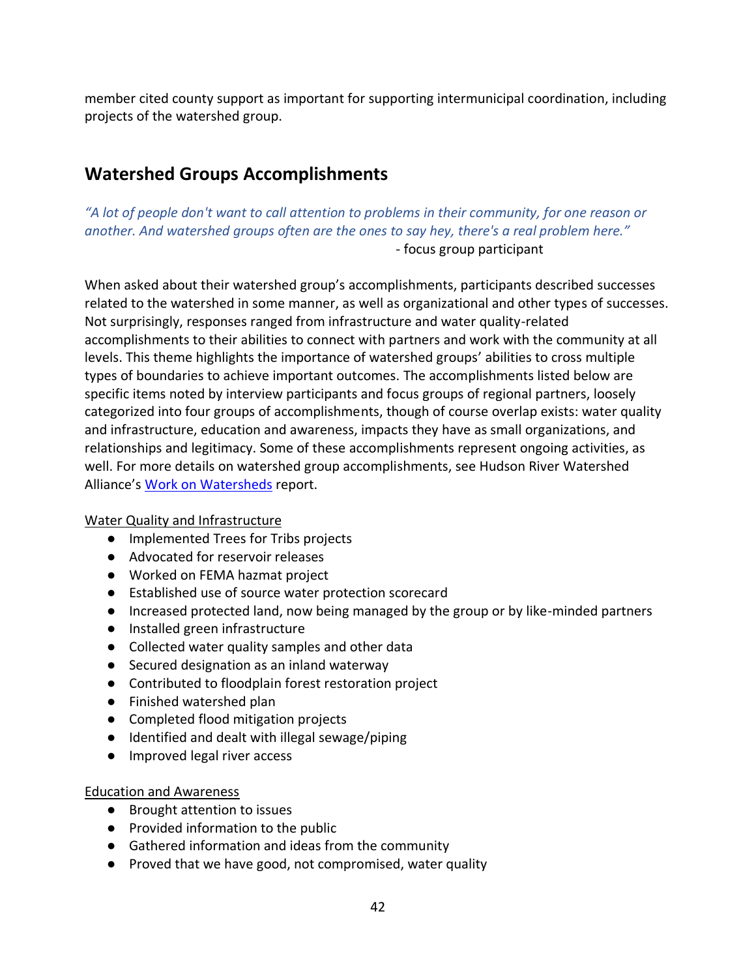member cited county support as important for supporting intermunicipal coordination, including projects of the watershed group.

# <span id="page-41-0"></span>**Watershed Groups Accomplishments**

*"A lot of people don't want to call attention to problems in their community, for one reason or another. And watershed groups often are the ones to say hey, there's a real problem here."* - focus group participant

When asked about their watershed group's accomplishments, participants described successes related to the watershed in some manner, as well as organizational and other types of successes. Not surprisingly, responses ranged from infrastructure and water quality-related accomplishments to their abilities to connect with partners and work with the community at all levels. This theme highlights the importance of watershed groups' abilities to cross multiple types of boundaries to achieve important outcomes. The accomplishments listed below are specific items noted by interview participants and focus groups of regional partners, loosely categorized into four groups of accomplishments, though of course overlap exists: water quality and infrastructure, education and awareness, impacts they have as small organizations, and relationships and legitimacy. Some of these accomplishments represent ongoing activities, as well. For more details on watershed group accomplishments, see Hudson River Watershed Alliance's [Work on Watersheds](https://hudsonwatershed.org/wp-content/uploads/HRWA_Work-on-Watersheds_Report.pdf) report.

#### Water Quality and Infrastructure

- Implemented Trees for Tribs projects
- Advocated for reservoir releases
- Worked on FEMA hazmat project
- Established use of source water protection scorecard
- Increased protected land, now being managed by the group or by like-minded partners
- Installed green infrastructure
- Collected water quality samples and other data
- Secured designation as an inland waterway
- Contributed to floodplain forest restoration project
- Finished watershed plan
- Completed flood mitigation projects
- Identified and dealt with illegal sewage/piping
- Improved legal river access

#### Education and Awareness

- Brought attention to issues
- Provided information to the public
- Gathered information and ideas from the community
- Proved that we have good, not compromised, water quality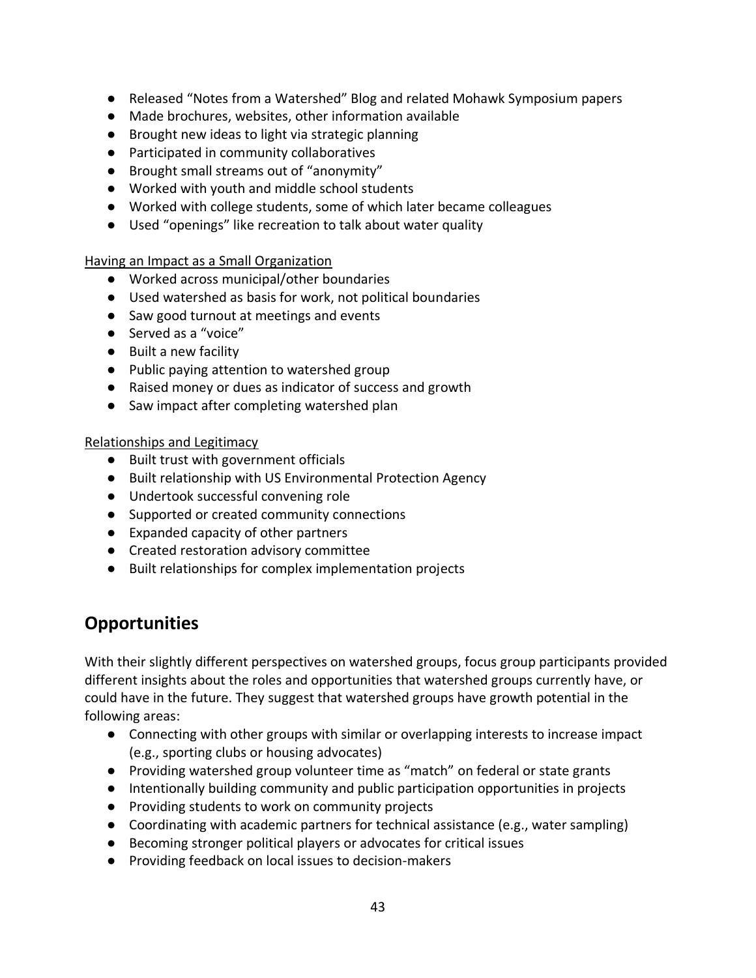- Released "Notes from a Watershed" Blog and related Mohawk Symposium papers
- Made brochures, websites, other information available
- Brought new ideas to light via strategic planning
- Participated in community collaboratives
- Brought small streams out of "anonymity"
- Worked with youth and middle school students
- Worked with college students, some of which later became colleagues
- Used "openings" like recreation to talk about water quality

Having an Impact as a Small Organization

- Worked across municipal/other boundaries
- Used watershed as basis for work, not political boundaries
- Saw good turnout at meetings and events
- Served as a "voice"
- Built a new facility
- Public paying attention to watershed group
- Raised money or dues as indicator of success and growth
- Saw impact after completing watershed plan

Relationships and Legitimacy

- Built trust with government officials
- Built relationship with US Environmental Protection Agency
- Undertook successful convening role
- Supported or created community connections
- Expanded capacity of other partners
- Created restoration advisory committee
- Built relationships for complex implementation projects

# <span id="page-42-0"></span>**Opportunities**

With their slightly different perspectives on watershed groups, focus group participants provided different insights about the roles and opportunities that watershed groups currently have, or could have in the future. They suggest that watershed groups have growth potential in the following areas:

- Connecting with other groups with similar or overlapping interests to increase impact (e.g., sporting clubs or housing advocates)
- Providing watershed group volunteer time as "match" on federal or state grants
- Intentionally building community and public participation opportunities in projects
- Providing students to work on community projects
- Coordinating with academic partners for technical assistance (e.g., water sampling)
- Becoming stronger political players or advocates for critical issues
- Providing feedback on local issues to decision-makers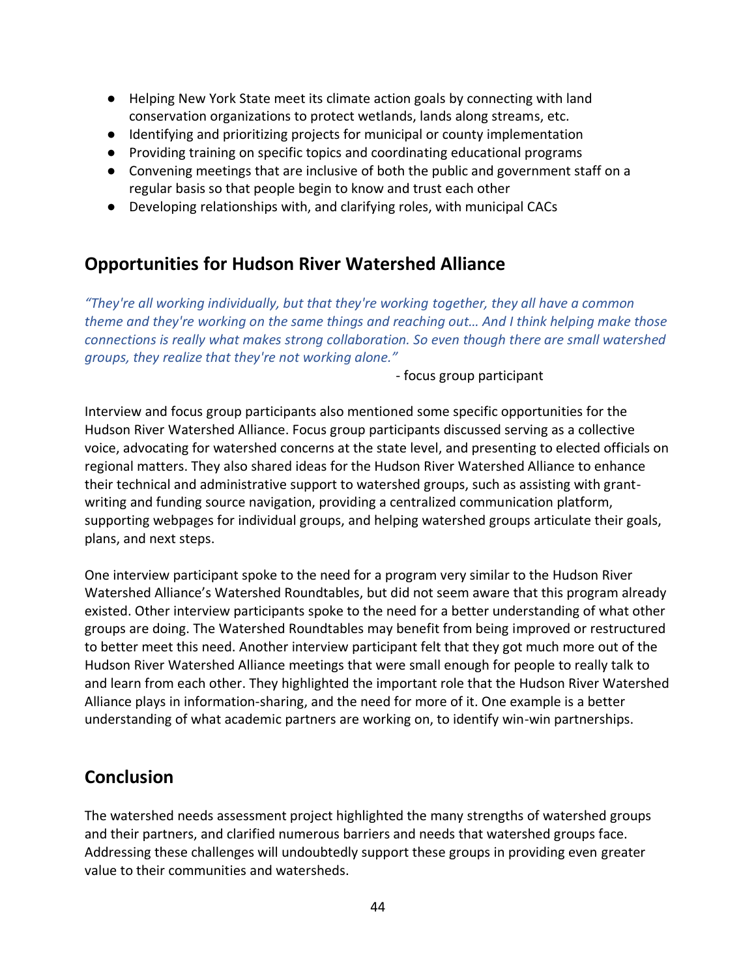- Helping New York State meet its climate action goals by connecting with land conservation organizations to protect wetlands, lands along streams, etc.
- Identifying and prioritizing projects for municipal or county implementation
- Providing training on specific topics and coordinating educational programs
- Convening meetings that are inclusive of both the public and government staff on a regular basis so that people begin to know and trust each other
- Developing relationships with, and clarifying roles, with municipal CACs

# <span id="page-43-0"></span>**Opportunities for Hudson River Watershed Alliance**

*"They're all working individually, but that they're working together, they all have a common theme and they're working on the same things and reaching out… And I think helping make those connections is really what makes strong collaboration. So even though there are small watershed groups, they realize that they're not working alone."*

- focus group participant

Interview and focus group participants also mentioned some specific opportunities for the Hudson River Watershed Alliance. Focus group participants discussed serving as a collective voice, advocating for watershed concerns at the state level, and presenting to elected officials on regional matters. They also shared ideas for the Hudson River Watershed Alliance to enhance their technical and administrative support to watershed groups, such as assisting with grantwriting and funding source navigation, providing a centralized communication platform, supporting webpages for individual groups, and helping watershed groups articulate their goals, plans, and next steps.

One interview participant spoke to the need for a program very similar to the Hudson River Watershed Alliance's Watershed Roundtables, but did not seem aware that this program already existed. Other interview participants spoke to the need for a better understanding of what other groups are doing. The Watershed Roundtables may benefit from being improved or restructured to better meet this need. Another interview participant felt that they got much more out of the Hudson River Watershed Alliance meetings that were small enough for people to really talk to and learn from each other. They highlighted the important role that the Hudson River Watershed Alliance plays in information-sharing, and the need for more of it. One example is a better understanding of what academic partners are working on, to identify win-win partnerships.

# <span id="page-43-1"></span>**Conclusion**

The watershed needs assessment project highlighted the many strengths of watershed groups and their partners, and clarified numerous barriers and needs that watershed groups face. Addressing these challenges will undoubtedly support these groups in providing even greater value to their communities and watersheds.